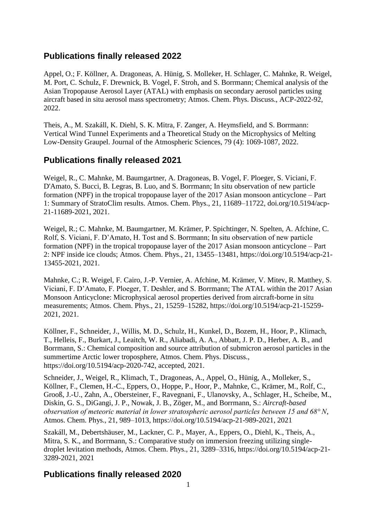# **Publications finally released 2022**

Appel, O.; F. Köllner, A. Dragoneas, A. Hünig, S. Molleker, H. Schlager, C. Mahnke, R. Weigel, M. Port, C. Schulz, F. Drewnick, B. Vogel, F. Stroh, and S. Borrmann; Chemical analysis of the Asian Tropopause Aerosol Layer (ATAL) with emphasis on secondary aerosol particles using aircraft based in situ aerosol mass spectrometry; Atmos. Chem. Phys. Discuss., ACP-2022-92, 2022.

Theis, A., M. Szakáll, K. Diehl, S. K. Mitra, F. Zanger, A. Heymsfield, and S. Borrmann: Vertical Wind Tunnel Experiments and a Theoretical Study on the Microphysics of Melting Low-Density Graupel. Journal of the Atmospheric Sciences, 79 (4): 1069-1087, 2022.

# **Publications finally released 2021**

Weigel, R., C. Mahnke, M. Baumgartner, A. Dragoneas, B. Vogel, F. Ploeger, S. Viciani, F. D'Amato, S. Bucci, B. Legras, B. Luo, and S. Borrmann; In situ observation of new particle formation (NPF) in the tropical tropopause layer of the 2017 Asian monsoon anticyclone – Part 1: Summary of StratoClim results. Atmos. Chem. Phys., 21, 11689–11722, doi.org/10.5194/acp-21-11689-2021, 2021.

Weigel, R.; C. Mahnke, M. Baumgartner, M. Krämer, P. Spichtinger, N. Spelten, A. Afchine, C. Rolf, S. Viciani, F. D'Amato, H. Tost and S. Borrmann; In situ observation of new particle formation (NPF) in the tropical tropopause layer of the 2017 Asian monsoon anticyclone – Part 2: NPF inside ice clouds; Atmos. Chem. Phys., 21, 13455–13481, https://doi.org/10.5194/acp-21- 13455-2021, 2021.

Mahnke, C.; R. Weigel, F. Cairo, J.-P. Vernier, A. Afchine, M. Krämer, V. Mitev, R. Matthey, S. Viciani, F. D'Amato, F. Ploeger, T. Deshler, and S. Borrmann; The ATAL within the 2017 Asian Monsoon Anticyclone: Microphysical aerosol properties derived from aircraft-borne in situ measurements; Atmos. Chem. Phys., 21, 15259–15282, https://doi.org/10.5194/acp-21-15259- 2021, 2021.

Köllner, F., Schneider, J., Willis, M. D., Schulz, H., Kunkel, D., Bozem, H., Hoor, P., Klimach, T., Helleis, F., Burkart, J., Leaitch, W. R., Aliabadi, A. A., Abbatt, J. P. D., Herber, A. B., and Borrmann, S.: Chemical composition and source attribution of submicron aerosol particles in the summertime Arctic lower troposphere, Atmos. Chem. Phys. Discuss., https://doi.org/10.5194/acp-2020-742, accepted, 2021.

Schneider, J., Weigel, R., Klimach, T., Dragoneas, A., Appel, O., Hünig, A., Molleker, S., Köllner, F., Clemen, H.-C., Eppers, O., Hoppe, P., Hoor, P., Mahnke, C., Krämer, M., Rolf, C., Grooß, J.-U., Zahn, A., Obersteiner, F., Ravegnani, F., Ulanovsky, A., Schlager, H., Scheibe, M., Diskin, G. S., DiGangi, J. P., Nowak, J. B., Zöger, M., and Borrmann, S.: *Aircraft-based observation of meteoric material in lower stratospheric aerosol particles between 15 and 68° N*, Atmos. Chem. Phys., 21, 989–1013, https://doi.org/10.5194/acp-21-989-2021, 2021

Szakáll, M., Debertshäuser, M., Lackner, C. P., Mayer, A., Eppers, O., Diehl, K., Theis, A., Mitra, S. K., and Borrmann, S.: Comparative study on immersion freezing utilizing singledroplet levitation methods, Atmos. Chem. Phys., 21, 3289–3316, https://doi.org/10.5194/acp-21- 3289-2021, 2021

# **Publications finally released 2020**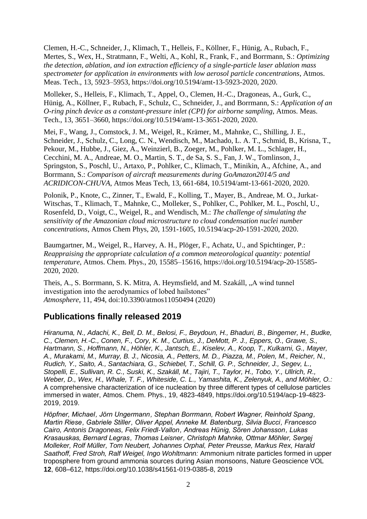Clemen, H.-C., Schneider, J., Klimach, T., Helleis, F., Köllner, F., Hünig, A., Rubach, F., Mertes, S., Wex, H., Stratmann, F., Welti, A., Kohl, R., Frank, F., and Borrmann, S.: *Optimizing the detection, ablation, and ion extraction efficiency of a single-particle laser ablation mass spectrometer for application in environments with low aerosol particle concentrations*, Atmos. Meas. Tech., 13, 5923–5953, https://doi.org/10.5194/amt-13-5923-2020, 2020.

Molleker, S., Helleis, F., Klimach, T., Appel, O., Clemen, H.-C., Dragoneas, A., Gurk, C., Hünig, A., Köllner, F., Rubach, F., Schulz, C., Schneider, J., and Borrmann, S.: *Application of an O-ring pinch device as a constant-pressure inlet (CPI) for airborne sampling*, Atmos. Meas. Tech., 13, 3651–3660, https://doi.org/10.5194/amt-13-3651-2020, 2020.

Mei, F., Wang, J., Comstock, J. M., Weigel, R., Krämer, M., Mahnke, C., Shilling, J. E., Schneider, J., Schulz, C., Long, C. N., Wendisch, M., Machado, L. A. T., Schmid, B., Krisna, T., Pekour, M., Hubbe, J., Giez, A., Weinzierl, B., Zoeger, M., Pohlker, M. L., Schlager, H., Cecchini, M. A., Andreae, M. O., Martin, S. T., de Sa, S. S., Fan, J. W., Tomlinson, J., Springston, S., Poschl, U., Artaxo, P., Pohlker, C., Klimach, T., Minikin, A., Afchine, A., and Borrmann, S.: *Comparison of aircraft measurements during GoAmazon2014/5 and ACRIDICON-CHUVA*, Atmos Meas Tech, 13, 661-684, 10.5194/amt-13-661-2020, 2020.

Polonik, P., Knote, C., Zinner, T., Ewald, F., Kolling, T., Mayer, B., Andreae, M. O., Jurkat-Witschas, T., Klimach, T., Mahnke, C., Molleker, S., Pohlker, C., Pohlker, M. L., Poschl, U., Rosenfeld, D., Voigt, C., Weigel, R., and Wendisch, M.: *The challenge of simulating the sensitivity of the Amazonian cloud microstructure to cloud condensation nuclei number concentrations*, Atmos Chem Phys, 20, 1591-1605, 10.5194/acp-20-1591-2020, 2020.

Baumgartner, M., Weigel, R., Harvey, A. H., Plöger, F., Achatz, U., and Spichtinger, P.: *Reappraising the appropriate calculation of a common meteorological quantity: potential temperature*, Atmos. Chem. Phys., 20, 15585–15616, https://doi.org/10.5194/acp-20-15585- 2020, 2020.

Theis, A., S. Borrmann, S. K. Mitra, A. Heymsfield, and M. Szakáll, "A wind tunnel investigation into the aerodynamics of lobed hailstones" *Atmosphere*, 11, 494, doi:10.3390/atmos11050494 (2020)

# **Publications finally released 2019**

*Hiranuma, N., Adachi, K., Bell, D. M., Belosi, F., Beydoun, H., Bhaduri, B., Bingemer, H., Budke, C., Clemen, H.-C., Conen, F., Cory, K. M., Curtius, J., DeMott, P. J., Eppers, O., Grawe, S., Hartmann, S., Hoffmann, N., Höhler, K., Jantsch, E., Kiselev, A., Koop, T., Kulkarni, G., Mayer, A., Murakami, M., Murray, B. J., Nicosia, A., Petters, M. D., Piazza, M., Polen, M., Reicher, N., Rudich, Y., Saito, A., Santachiara, G., Schiebel, T., Schill, G. P., Schneider, J., Segev, L., Stopelli, E., Sullivan, R. C., Suski, K., Szakáll, M., Tajiri, T., Taylor, H., Tobo, Y., Ullrich, R., Weber, D., Wex, H., Whale, T. F., Whiteside, C. L., Yamashita, K., Zelenyuk, A., and Möhler, O.:* A comprehensive characterization of ice nucleation by three different types of cellulose particles immersed in water, Atmos. Chem. Phys., 19, 4823-4849, [https://doi.org/10.5194/acp-19-4823-](https://doi.org/10.5194/acp-19-4823-2019) [2019,](https://doi.org/10.5194/acp-19-4823-2019) 2019.

*Höpfner, Michael , Jörn Ungermann , Stephan Borrmann, Robert Wagner, Reinhold Spang , Martin Riese , Gabriele Stiller , Oliver Appel, Anneke M. Batenburg , Silvia Bucci , Francesco Cairo, Antonis Dragoneas, Felix Friedl-Vallon , Andreas Hünig, Sören Johansson , Lukas Krasauskas, Bernard Legras , Thomas Leisner , Christoph Mahnke, Ottmar Möhler, Sergej Molleker, Rolf Müller, Tom Neubert, Johannes Orphal, Peter Preusse, Markus Rex, Harald Saathoff, Fred Stroh, Ralf Weigel, Ingo Wohltmann:* Ammonium nitrate particles formed in upper troposphere from ground ammonia sources during Asian monsoons, Nature Geoscience VOL **12**, 608–612, [https://doi.org/10.1038/s41561-](https://doi.org/10.1038/s41561-019-0385-8)019-0385-8, 2019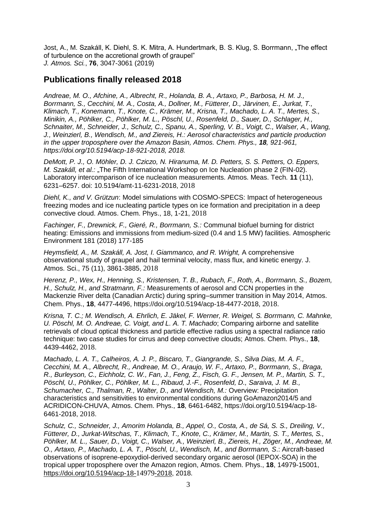Jost, A., M. Szakáll, K. Diehl, S. K. Mitra, A. Hundertmark, B. S. Klug, S. Borrmann, "The effect of turbulence on the accretional growth of graupel" *J. Atmos. Sci.*, **76**, 3047-3061 (2019)

## **Publications finally released 2018**

*Andreae, M. O., Afchine, A., Albrecht, R., Holanda, B. A., Artaxo, P., Barbosa, H. M. J., Borrmann, S., Cecchini, M. A., Costa, A., Dollner, M., Fütterer, D., Järvinen, E., Jurkat, T., Klimach, T., Konemann, T., Knote, C., Krämer, M., Krisna, T., Machado, L. A. T., Mertes, S., Minikin, A., Pöhlker, C., Pöhlker, M. L., Pöschl, U., Rosenfeld, D., Sauer, D., Schlager, H., Schnaiter, M., Schneider, J., Schulz, C., Spanu, A., Sperling, V. B., Voigt, C., Walser, A., Wang, J., Weinzierl, B., Wendisch, M., and Ziereis, H.: Aerosol characteristics and particle production in the upper troposphere over the Amazon Basin, Atmos. Chem. Phys., 18, 921-961, https://doi.org/10.5194/acp-18-921-2018, 2018.*

*DeMott, P. J., O. Möhler, D. J. Cziczo, N. Hiranuma, M. D. Petters, S. S. Petters, O. Eppers, M. Szakáll, et al.:* "The Fifth International Workshop on Ice Nucleation phase 2 (FIN-02). Laboratory intercomparison of ice nucleation measurements. Atmos. Meas. Tech. **11** (11), 6231–6257. doi: 10.5194/amt-11-6231-2018, 2018

*Diehl, K., and V. Grützun*: Model simulations with COSMO-SPECS: Impact of heterogeneous freezing modes and ice nucleating particle types on ice formation and precipitation in a deep convective cloud. Atmos. Chem. Phys., 18, 1-21, 2018

*Fachinger, F., Drewnick, F., Gieré, R., Borrmann, S.:* Communal biofuel burning for district heating: Emissions and immissions from medium-sized (0.4 and 1.5 MW) facilities. Atmospheric Environment 181 (2018) 177-185

*Heymsfield, A., M. Szakáll, A. Jost, I. Giammanco, and R. Wright,* A comprehensive observational study of graupel and hail terminal velocity, mass flux, and kinetic energy. J. Atmos. Sci., 75 (11), 3861-3885, 2018

*Herenz, P., Wex, H., Henning, S., Kristensen, T. B., Rubach, F., Roth, A., Borrmann, S., Bozem, H., Schulz, H., and Stratmann, F.:* Measurements of aerosol and CCN properties in the Mackenzie River delta (Canadian Arctic) during spring–summer transition in May 2014, Atmos. Chem. Phys., **18**, 4477-4496, https://doi.org/10.5194/acp-18-4477-2018, 2018.

*Krisna, T. C.; M. Wendisch, A. Ehrlich, E. Jäkel, F. Werner, R. Weigel, S. Borrmann, C. Mahnke, U. Pöschl, M. O. Andreae, C. Voigt, and L. A. T. Machado*; Comparing airborne and satellite retrievals of cloud optical thickness and particle effective radius using a spectral radiance ratio technique: two case studies for cirrus and deep convective clouds; Atmos. Chem. Phys., **18**, 4439-4462, 2018.

*Machado, L. A. T., Calheiros, A. J. P., Biscaro, T., Giangrande, S., Silva Dias, M. A. F., Cecchini, M. A., Albrecht, R., Andreae, M. O., Araujo, W. F., Artaxo, P., Borrmann, S., Braga, R., Burleyson, C., Eichholz, C. W., Fan, J., Feng, Z., Fisch, G. F., Jensen, M. P., Martin, S. T., Pöschl, U., Pöhlker, C., Pöhlker, M. L., Ribaud, J.-F., Rosenfeld, D., Saraiva, J. M. B., Schumacher, C., Thalman, R., Walter, D., and Wendisch, M.:* Overview: Precipitation characteristics and sensitivities to environmental conditions during GoAmazon2014/5 and ACRIDICON-CHUVA, Atmos. Chem. Phys., **18**, 6461-6482, https://doi.org/10.5194/acp-18- 6461-2018, 2018.

*Schulz, C., Schneider, J., Amorim Holanda, B., Appel, O., Costa, A., de Sá, S. S., Dreiling, V., Fütterer, D., Jurkat-Witschas, T., Klimach, T., Knote, C., Krämer, M., Martin, S. T., Mertes, S., Pöhlker, M. L., Sauer, D., Voigt, C., Walser, A., Weinzierl, B., Ziereis, H., Zöger, M., Andreae, M. O., Artaxo, P., Machado, L. A. T., Pöschl, U., Wendisch, M., and Borrmann, S*.: Aircraft-based observations of isoprene-epoxydiol-derived secondary organic aerosol (IEPOX-SOA) in the tropical upper troposphere over the Amazon region, Atmos. Chem. Phys., **18**, 14979-15001, [https://doi.org/10.5194/acp-18-](https://doi.org/10.5194/acp-18-14979-2018)14979-2018, 2018.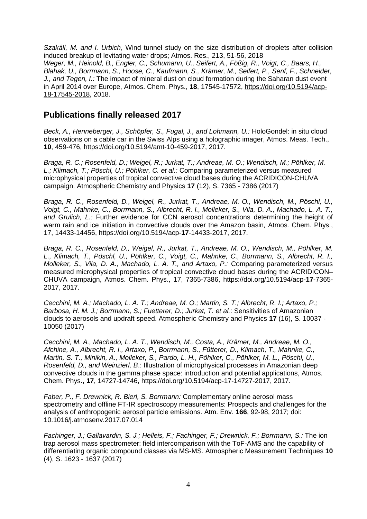*Szakáll, M. and I. Urbich*, Wind tunnel study on the size distribution of droplets after collision induced breakup of levitating water drops; Atmos. Res., 213, 51-56, 2018 *Weger, M., Heinold, B., Engler, C., Schumann, U., Seifert, A., Fößig, R., Voigt, C., Baars, H., Blahak, U., Borrmann, S., Hoose, C., Kaufmann, S., Krämer, M., Seifert, P., Senf, F., Schneider, J., and Tegen, I.:* The impact of mineral dust on cloud formation during the Saharan dust event in April 2014 over Europe, Atmos. Chem. Phys., **18**, 17545-17572, [https://doi.org/10.5194/acp-](https://doi.org/10.5194/acp-18-17545-2018)[18-17545-2018,](https://doi.org/10.5194/acp-18-17545-2018) 2018.

## **Publications finally released 2017**

*Beck, A., Henneberger, J., Schöpfer, S., Fugal, J., and Lohmann, U.:* HoloGondel: in situ cloud observations on a cable car in the Swiss Alps using a holographic imager, Atmos. Meas. Tech., **10**, 459-476, https://doi.org/10.5194/amt-10-459-2017, 2017.

*Braga, R. C.; Rosenfeld, D.; Weigel, R.; Jurkat, T.; [Andreae, M. O.;](http://www.mpic.mpg.de/publication-search/3477793?person=http%3A%2F%2Fpubman.mpdl.mpg.de%2Fcone%2Fpersons%2Fresource%2Fpersons100833) Wendisch, M.; [Pöhlker, M.](http://www.mpic.mpg.de/publication-search/3477793?person=http%3A%2F%2Fpubman.mpdl.mpg.de%2Fcone%2Fpersons%2Fresource%2Fpersons203102)  [L.;](http://www.mpic.mpg.de/publication-search/3477793?person=http%3A%2F%2Fpubman.mpdl.mpg.de%2Fcone%2Fpersons%2Fresource%2Fpersons203102) [Klimach, T.;](http://www.mpic.mpg.de/publication-search/3477793?person=http%3A%2F%2Fpubman.mpdl.mpg.de%2Fcone%2Fpersons%2Fresource%2Fpersons101066) [Pöschl, U.;](http://www.mpic.mpg.de/publication-search/3477793?person=http%3A%2F%2Fpubman.mpdl.mpg.de%2Fcone%2Fpersons%2Fresource%2Fpersons101189) [Pöhlker, C.](http://www.mpic.mpg.de/publication-search/3477793?person=http%3A%2F%2Fpubman.mpdl.mpg.de%2Fcone%2Fpersons%2Fresource%2Fpersons104597) [et al.:](http://www.mpic.mpg.de/publication-search/3477793?from_year=2015&organization=escidoc%3A1826291&seite=1&until_year=2017)* Comparing parameterized versus measured microphysical properties of tropical convective cloud bases during the ACRIDICON-CHUVA campaign. Atmospheric Chemistry and Physics **17** (12), S. 7365 - 7386 (2017)

*Braga, R. C., Rosenfeld, D., Weigel, R., Jurkat, T., Andreae, M. O., Wendisch, M., Pöschl, U., Voigt, C., Mahnke, C., Borrmann, S., Albrecht, R. I., Molleker, S., Vila, D. A., Machado, L. A. T., and Grulich, L.:* Further evidence for CCN aerosol concentrations determining the height of warm rain and ice initiation in convective clouds over the Amazon basin*,* Atmos. Chem. Phys., 17, 14433-14456, https://doi.org/10.5194/acp-**17**-14433-2017, 2017.

*Braga, R. C., Rosenfeld, D., Weigel, R., Jurkat, T., Andreae, M. O., Wendisch, M., Pöhlker, M. L., Klimach, T., Pöschl, U., Pöhlker, C., Voigt, C., Mahnke, C., Borrmann, S., Albrecht, R. I., Molleker, S., Vila, D. A., Machado, L. A. T., and Artaxo, P.:* Comparing parameterized versus measured microphysical properties of tropical convective cloud bases during the ACRIDICON– CHUVA campaign, Atmos. Chem. Phys., 17, 7365-7386, https://doi.org/10.5194/acp-**17**-7365- 2017, 2017.

*Cecchini, M. A.; Machado, L. A. T.; [Andreae, M. O.;](http://www.mpic.mpg.de/publication-search/3477793?person=http%3A%2F%2Fpubman.mpdl.mpg.de%2Fcone%2Fpersons%2Fresource%2Fpersons100833) Martin, S. T.; Albrecht, R. I.; Artaxo, P.; Barbosa, H. M. J.; [Borrmann, S.;](http://www.mpic.mpg.de/publication-search/3477793?person=http%3A%2F%2Fpubman.mpdl.mpg.de%2Fcone%2Fpersons%2Fresource%2Fpersons100858) Fuetterer, D.; Jurkat, T. [et al.](http://www.mpic.mpg.de/publication-search/3477793?from_year=2015&organization=escidoc%3A1826291&seite=1&until_year=2017)*: Sensitivities of Amazonian clouds to aerosols and updraft speed. Atmospheric Chemistry and Physics **17** (16), S. 10037 - 10050 (2017)

*Cecchini, M. A., Machado, L. A. T., Wendisch, M., Costa, A., Krämer, M., Andreae, M. O., Afchine, A., Albrecht, R. I., Artaxo, P., Borrmann, S., Fütterer, D., Klimach, T., Mahnke, C., Martin, S. T., Minikin, A., Molleker, S., Pardo, L. H., Pöhlker, C., Pöhlker, M. L., Pöschl, U., Rosenfeld, D., and Weinzierl, B*.: Illustration of microphysical processes in Amazonian deep convective clouds in the gamma phase space: introduction and potential applications, Atmos. Chem. Phys., **17**, 14727-14746, https://doi.org/10.5194/acp-17-14727-2017, 2017.

*Faber, P., F. Drewnick, R. Bierl, S. Borrmann:* Complementary online aerosol mass spectrometry and offline FT-IR spectroscopy measurements: Prospects and challenges for the analysis of anthropogenic aerosol particle emissions. Atm. Env. **166**, 92-98, 2017; doi: 10.1016/j.atmosenv.2017.07.014

*[Fachinger, J.;](http://www.mpic.mpg.de/publication-search/3477793?person=http%3A%2F%2Fpubman.mpdl.mpg.de%2Fcone%2Fpersons%2Fresource%2Fpersons100928) [Gallavardin, S. J.;](http://www.mpic.mpg.de/publication-search/3477793?person=http%3A%2F%2Fpubman.mpdl.mpg.de%2Fcone%2Fpersons%2Fresource%2Fpersons206883) [Helleis, F.;](http://www.mpic.mpg.de/publication-search/3477793?person=http%3A%2F%2Fpubman.mpdl.mpg.de%2Fcone%2Fpersons%2Fresource%2Fpersons206885) [Fachinger, F.;](http://www.mpic.mpg.de/publication-search/3477793?person=http%3A%2F%2Fpubman.mpdl.mpg.de%2Fcone%2Fpersons%2Fresource%2Fpersons203109) [Drewnick, F.;](http://www.mpic.mpg.de/publication-search/3477793?person=http%3A%2F%2Fpubman.mpdl.mpg.de%2Fcone%2Fpersons%2Fresource%2Fpersons100914) [Borrmann, S.:](http://www.mpic.mpg.de/publication-search/3477793?person=http%3A%2F%2Fpubman.mpdl.mpg.de%2Fcone%2Fpersons%2Fresource%2Fpersons100858)* The ion trap aerosol mass spectrometer: field intercomparison with the ToF-AMS and the capability of differentiating organic compound classes via MS-MS. Atmospheric Measurement Techniques **10** (4), S. 1623 - 1637 (2017)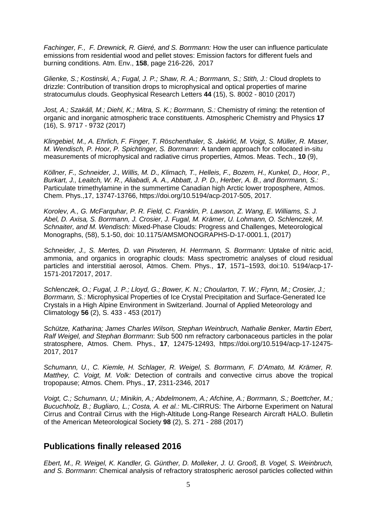*Fachinger, F., F. Drewnick, R. Gieré, and S. Borrmann:* How the user can influence particulate emissions from residential wood and pellet stoves: Emission factors for different fuels and burning conditions. Atm. Env., **158**, page 216-226, 2017

*Glienke, S.; Kostinski, A.; [Fugal, J. P.;](http://www.mpic.mpg.de/publication-search/3477793?person=http%3A%2F%2Fpubman.mpdl.mpg.de%2Fcone%2Fpersons%2Fresource%2Fpersons100945) Shaw, R. A.; [Borrmann, S.;](http://www.mpic.mpg.de/publication-search/3477793?person=http%3A%2F%2Fpubman.mpdl.mpg.de%2Fcone%2Fpersons%2Fresource%2Fpersons100858) Stith, J.:* Cloud droplets to drizzle: Contribution of transition drops to microphysical and optical properties of marine stratocumulus clouds. Geophysical Research Letters **44** (15), S. 8002 - 8010 (2017)

*[Jost, A.;](http://www.mpic.mpg.de/publication-search/3477793?person=http%3A%2F%2Fpubman.mpdl.mpg.de%2Fcone%2Fpersons%2Fresource%2Fpersons207345) Szakáll, M.; Diehl, K.; [Mitra, S. K.;](http://www.mpic.mpg.de/publication-search/3477793?person=http%3A%2F%2Fpubman.mpdl.mpg.de%2Fcone%2Fpersons%2Fresource%2Fpersons101142) [Borrmann, S.:](http://www.mpic.mpg.de/publication-search/3477793?person=http%3A%2F%2Fpubman.mpdl.mpg.de%2Fcone%2Fpersons%2Fresource%2Fpersons100858)* Chemistry of riming: the retention of organic and inorganic atmospheric trace constituents. Atmospheric Chemistry and Physics **17** (16), S. 9717 - 9732 (2017)

*Klingebiel, M., A. Ehrlich, F. Finger, T. Röschenthaler, S. Jakirlić, M. Voigt, S. Müller, R. Maser, M. Wendisch, P. Hoor, P. Spichtinger, S. Borrmann*: A tandem approach for collocated in-situ measurements of microphysical and radiative cirrus properties, Atmos. Meas. Tech., **10** (9),

*Köllner, F., Schneider, J., Willis, M. D., Klimach, T., Helleis, F., Bozem, H., Kunkel, D., Hoor, P., Burkart, J., Leaitch, W. R., Aliabadi, A. A., Abbatt, J. P. D., Herber, A. B., and Borrmann, S.:* Particulate trimethylamine in the summertime Canadian high Arctic lower troposphere, Atmos. Chem. Phys.,17, 13747-13766, https://doi.org/10.5194/acp-2017-505, 2017.

*Korolev, A., G. McFarquhar, P. R. Field, C. Franklin, P. Lawson, Z. Wang, E. Williams, S. J. Abel, D. Axisa, S. Borrmann, J. Crosier, J. Fugal, M. Krämer, U. Lohmann, O. Schlenczek, M. Schnaiter, and M. Wendisch:* Mixed-Phase Clouds: Progress and Challenges, Meteorological Monographs, (58), 5.1-50, doi: 10.1175/AMSMONOGRAPHS-D-17-0001.1, (2017)

*Schneider, J., S. Mertes, D. van Pinxteren, H. Herrmann, S. Borrmann*: Uptake of nitric acid, ammonia, and organics in orographic clouds: Mass spectrometric analyses of cloud residual particles and interstitial aerosol, Atmos. Chem. Phys., **17**, 1571–1593, doi:10. 5194/acp-17- 1571-20172017, 2017.

*[Schlenczek, O.;](http://www.mpic.mpg.de/publication-search/3477793?person=http%3A%2F%2Fpubman.mpdl.mpg.de%2Fcone%2Fpersons%2Fresource%2Fpersons190509) [Fugal, J. P.;](http://www.mpic.mpg.de/publication-search/3477793?person=http%3A%2F%2Fpubman.mpdl.mpg.de%2Fcone%2Fpersons%2Fresource%2Fpersons100945) Lloyd, G.; Bower, K. N.; Choularton, T. W.; Flynn, M.; Crosier, J.; [Borrmann, S.:](http://www.mpic.mpg.de/publication-search/3477793?person=http%3A%2F%2Fpubman.mpdl.mpg.de%2Fcone%2Fpersons%2Fresource%2Fpersons100858)* Microphysical Properties of Ice Crystal Precipitation and Surface-Generated Ice Crystals in a High Alpine Environment in Switzerland. Journal of Applied Meteorology and Climatology **56** (2), S. 433 - 453 (2017)

*Schütze, Katharina; James Charles Wilson, Stephan Weinbruch, Nathalie Benker, Martin Ebert, Ralf Weigel, and Stephan Borrmann*: Sub 500 nm refractory carbonaceous particles in the polar stratosphere, Atmos. Chem. Phys., **17**, 12475-12493, [https://doi.org/10.5194/acp-17-12475-](https://doi.org/10.5194/acp-17-12475-2017) [2017,](https://doi.org/10.5194/acp-17-12475-2017) 2017

*Schumann, U., C. Kiemle, H. Schlager, R. Weigel, S. Borrmann, F. D'Amato, M. Krämer, R. Matthey, C. Voigt, M. Volk:* Detection of contrails and convective cirrus above the tropical tropopause; Atmos. Chem. Phys., **17**, 2311-2346, 2017

*Voigt, C.; Schumann, U.; Minikin, A.; Abdelmonem, A.; Afchine, A.; [Borrmann, S.;](http://www.mpic.mpg.de/publication-search/3477793?person=http%3A%2F%2Fpubman.mpdl.mpg.de%2Fcone%2Fpersons%2Fresource%2Fpersons100858) Boettcher, M.; Bucuchholz, B.; Bugliaro, L.; Costa, A. [et al.:](http://www.mpic.mpg.de/publication-search/3477793?from_year=2015&organization=escidoc%3A1826291&seite=1&until_year=2017)* ML-CIRRUS: The Airborne Experiment on Natural Cirrus and Contrail Cirrus with the High-Altitude Long-Range Research Aircraft HALO. Bulletin of the American Meteorological Society **98** (2), S. 271 - 288 (2017)

## **Publications finally released 2016**

*Ebert, M., R. Weigel, K. Kandler, G. Günther, D. Molleker, J. U. Grooß, B. Vogel, S. Weinbruch, and S. Borrmann*: Chemical analysis of refractory stratospheric aerosol particles collected within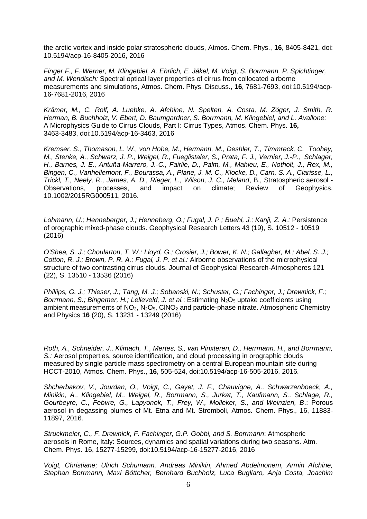the arctic vortex and inside polar stratospheric clouds, Atmos. Chem. Phys., **16**, 8405-8421, doi: 10.5194/acp-16-8405-2016, 2016

*Finger F., F. Werner, M. Klingebiel, A. Ehrlich, E. Jäkel, M. Voigt, S. Borrmann, P. Spichtinger, and M. Wendisch:* Spectral optical layer properties of cirrus from collocated airborne measurements and simulations, Atmos. Chem. Phys. Discuss., **16**, 7681-7693, doi:10.5194/acp-16-7681-2016, 2016

*Krämer, M., C. Rolf, A. Luebke, A. Afchine, N. Spelten, A. Costa, M. Zöger, J. Smith, R. Herman, B. Buchholz, V. Ebert, D. Baumgardner, S. Borrmann, M. Klingebiel, and L. Avallone:* A Microphysics Guide to Cirrus Clouds, Part I: Cirrus Types, Atmos. Chem. Phys. **16,** 3463-3483, doi:10.5194*/*acp-16-3463, 2016

*Kremser, S., Thomason, L. W., von Hobe, M., Hermann, M., Deshler, T., Timmreck, C. Toohey, M., Stenke, A., Schwarz, J. P., Weigel, R., Fueglistaler, S., Prata, F. J., Vernier, J.-P., Schlager, H., Barnes, J. E., Antuña-Marrero, J.-C., Fairlie, D., Palm, M., Mahieu, E., Notholt, J., Rex, M., Bingen, C., Vanhellemont, F., Bourassa, A., Plane, J. M. C., Klocke, D., Carn, S. A., Clarisse, L., Trickl, T., Neely, R., James, A. D., Rieger, L., Wilson, J. C., Meland*, B., Stratospheric aerosol - Observations, processes, and impact on climate; Review of Geophysics, 10.1002/2015RG000511, 2016.

*Lohmann, U.; Henneberger, J.; Henneberg, O.; [Fugal, J. P.;](http://www.mpic.mpg.de/publication-search/3477793?person=http%3A%2F%2Fpubman.mpdl.mpg.de%2Fcone%2Fpersons%2Fresource%2Fpersons100945) Buehl, J.; Kanji, Z. A.:* Persistence of orographic mixed-phase clouds. Geophysical Research Letters 43 (19), S. 10512 - 10519 (2016)

*O'Shea, S. J.; Choularton, T. W.; Lloyd, G.; Crosier, J.; Bower, K. N.; Gallagher, M.; Abel, S. J.; Cotton, R. J.; Brown, P. R. A.; [Fugal, J. P.](http://www.mpic.mpg.de/publication-search/3477793?person=http%3A%2F%2Fpubman.mpdl.mpg.de%2Fcone%2Fpersons%2Fresource%2Fpersons100945) [et al.:](http://www.mpic.mpg.de/publication-search/3477793?from_year=2015&organization=escidoc%3A1826291&seite=2&until_year=2017)* Airborne observations of the microphysical structure of two contrasting cirrus clouds. Journal of Geophysical Research-Atmospheres 121 (22), S. 13510 - 13536 (2016)

*[Phillips, G. J.;](http://www.mpic.mpg.de/publication-search/3477793?person=http%3A%2F%2Fpubman.mpdl.mpg.de%2Fcone%2Fpersons%2Fresource%2Fpersons101183) [Thieser, J.;](http://www.mpic.mpg.de/publication-search/3477793?person=http%3A%2F%2Fpubman.mpdl.mpg.de%2Fcone%2Fpersons%2Fresource%2Fpersons101313) [Tang, M. J.;](http://www.mpic.mpg.de/publication-search/3477793?person=http%3A%2F%2Fpubman.mpdl.mpg.de%2Fcone%2Fpersons%2Fresource%2Fpersons101302) [Sobanski, N.;](http://www.mpic.mpg.de/publication-search/3477793?person=http%3A%2F%2Fpubman.mpdl.mpg.de%2Fcone%2Fpersons%2Fresource%2Fpersons203115) [Schuster, G.;](http://www.mpic.mpg.de/publication-search/3477793?person=http%3A%2F%2Fpubman.mpdl.mpg.de%2Fcone%2Fpersons%2Fresource%2Fpersons101261) [Fachinger, J.;](http://www.mpic.mpg.de/publication-search/3477793?person=http%3A%2F%2Fpubman.mpdl.mpg.de%2Fcone%2Fpersons%2Fresource%2Fpersons100928) [Drewnick, F.;](http://www.mpic.mpg.de/publication-search/3477793?person=http%3A%2F%2Fpubman.mpdl.mpg.de%2Fcone%2Fpersons%2Fresource%2Fpersons100914) [Borrmann, S.;](http://www.mpic.mpg.de/publication-search/3477793?person=http%3A%2F%2Fpubman.mpdl.mpg.de%2Fcone%2Fpersons%2Fresource%2Fpersons100858) Bingemer, H.; [Lelieveld, J.](http://www.mpic.mpg.de/publication-search/3477793?person=http%3A%2F%2Fpubman.mpdl.mpg.de%2Fcone%2Fpersons%2Fresource%2Fpersons101104) [et al.](http://www.mpic.mpg.de/publication-search/3477793?from_year=2015&organization=escidoc%3A1826291&seite=2&until_year=2017): Estimating N<sub>2</sub>O<sub>5</sub> uptake coefficients using* ambient measurements of  $NO<sub>3</sub>$ ,  $N<sub>2</sub>O<sub>5</sub>$ , CINO<sub>2</sub> and particle-phase nitrate. Atmospheric Chemistry and Physics **16** (20), S. 13231 - 13249 (2016)

*Roth, A., Schneider, J., Klimach, T., Mertes, S., van Pinxteren, D., Herrmann, H., and Borrmann, S.:* Aerosol properties, source identification, and cloud processing in orographic clouds measured by single particle mass spectrometry on a central European mountain site during HCCT-2010, Atmos. Chem. Phys., **16**, 505-524, doi:10.5194/acp-16-505-2016, 2016.

*Shcherbakov, V., Jourdan, O., Voigt, C., Gayet, J. F., Chauvigne, A., Schwarzenboeck, A., Minikin, A., Klingebiel, M., Weigel, R., Borrmann, S., Jurkat, T., Kaufmann, S., Schlage, R., Gourbeyre, C., Febvre, G., Lapyonok, T., Frey, W., Molleker, S., and Weinzierl, B*.: Porous aerosol in degassing plumes of Mt. Etna and Mt. Stromboli, Atmos. Chem. Phys., 16, 11883- 11897, 2016.

*Struckmeier, C., F. Drewnick, F. Fachinger, G.P. Gobbi, and S. Borrmann*: Atmospheric aerosols in Rome, Italy: Sources, dynamics and spatial variations during two seasons. Atm. Chem. Phys. 16, 15277-15299, doi:10.5194/acp-16-15277-2016, 2016

*Voigt, Christiane; Ulrich Schumann, Andreas Minikin, Ahmed Abdelmonem, Armin Afchine, Stephan Borrmann, Maxi Böttcher, Bernhard Buchholz, Luca Bugliaro, Anja Costa, Joachim*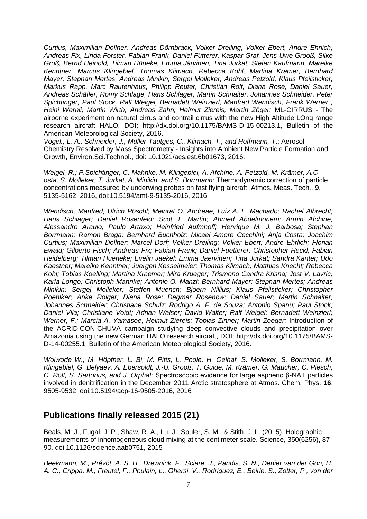*Curtius, Maximilian Dollner, Andreas Dörnbrack, Volker Dreiling, Volker Ebert, Andre Ehrlich, Andreas Fix, Linda Forster, Fabian Frank, Daniel Fütterer, Kaspar Graf, Jens-Uwe Grooß, Silke Groß, Bernd Heinold, Tilman Hüneke, Emma Järvinen, Tina Jurkat, Stefan Kaufmann, Mareike Kenntner, Marcus Klingebiel, Thomas Klimach, Rebecca Kohl, Martina Krämer, Bernhard Mayer, Stephan Mertes, Andreas Minikin, Sergej Molleker, Andreas Petzold, Klaus Pfeilsticker, Markus Rapp, Marc Rautenhaus, Philipp Reuter, Christian Rolf, Diana Rose, Daniel Sauer, Andreas Schäfler, Romy Schlage, Hans Schlager, Martin Schnaiter, Johannes Schneider, Peter Spichtinger, Paul Stock, Ralf Weigel, Bernadett Weinzierl, Manfred Wendisch, Frank Werner , Heini Wernli, Martin Wirth, Andreas Zahn, Helmut Ziereis, Martin Zöger:* ML-CIRRUS - The airborne experiment on natural cirrus and contrail cirrus with the new High Altitude LOng range research aircraft HALO, DOI: [http://dx.doi.org/10.1175/BAMS-D-15-00213.1,](http://dx.doi.org/10.1175/BAMS-D-15-00213.1) [Bulletin of the](https://www2.ametsoc.org/ams/index.cfm/publications/bulletin-of-the-american-meteorological-society-bams/) [American Meteorological Society,](https://www2.ametsoc.org/ams/index.cfm/publications/bulletin-of-the-american-meteorological-society-bams/) 2016.

*Vogel., L. A., Schneider, J., Müller-Tautges, C., Klimach, T., and Hoffmann, T*.: Aerosol Chemistry Resolved by Mass Spectrometry - Insights into Ambient New Particle Formation and Growth, Environ.Sci.Technol., [doi: 10.1021/acs.est.6b01673,](https://dx.doi.org/10.1021/acs.est.6b01673) 2016.

*Weigel, R.; P.Spichtinger, C. Mahnke, M. Klingebiel, A. Afchine, A. Petzold, M. Krämer, A.C osta, S. Molleker, T. Jurkat, A. Minikin, and S. Borrmann*: Thermodynamic correction of particle concentrations measured by underwing probes on fast flying aircraft; Atmos. Meas. Tech., **9**, 5135-5162, 2016, doi:10.5194/amt-9-5135-2016, 2016

*Wendisch, Manfred; Ulrich Pöschl; Meinrat O. Andreae; Luiz A. L. Machado; Rachel Albrecht; Hans Schlager; Daniel Rosenfeld; Scot T. Martin; Ahmed Abdelmonem; Armin Afchine; Alessandro Araujo; Paulo Artaxo; Heinfried Aufmhoff; Henrique M. J. Barbosa; Stephan Borrmann; Ramon Braga; Bernhard Buchholz; Micael Amore Cecchini; Anja Costa; Joachim Curtius; Maximilian Dollner; Marcel Dorf; Volker Dreiling; Volker Ebert; Andre Ehrlich; Florian Ewald; Gilberto Fisch; Andreas Fix; Fabian Frank; Daniel Fuetterer; Christopher Heckl; Fabian Heidelberg; Tilman Hueneke; Evelin Jaekel; Emma Jaervinen; Tina Jurkat; Sandra Kanter; Udo Kaestner; Mareike Kenntner; Juergen Kesselmeier; Thomas Klimach; Matthias Knecht; Rebecca Kohl; Tobias Koelling; Martina Kraemer; Mira Krueger; Trismono Candra Krisna; Jost V. Lavric; Karla Longo; Christoph Mahnke; Antonio O. Manzi; Bernhard Mayer; Stephan Mertes; Andreas Minikin; Sergej Molleker; Steffen Muench; Bjoern Nillius; Klaus Pfeilsticker; Christopher Poehlker; Anke Roiger; Diana Rose; Dagmar Rosenow; Daniel Sauer; Martin Schnaiter; Johannes Schneider; Christiane Schulz; Rodrigo A. F. de Souza; Antonio Spanu; Paul Stock; Daniel Vila; Christiane Voigt; Adrian Walser; David Walter; Ralf Weigel; Bernadett Weinzierl; Werner, F.; Marcia A. Yamasoe; Helmut Ziereis; Tobias Zinner; Martin Zoeger:* Introduction of the ACRIDICON-CHUVA campaign studying deep convective clouds and precipitation over Amazonia using the new German HALO research aircraft, DOI: [http://dx.doi.org/10.1175/BAMS-](http://dx.doi.org/10.1175/BAMS-D-14-00255.1)[D-14-00255.1,](http://dx.doi.org/10.1175/BAMS-D-14-00255.1) [Bulletin of the American Meteorological Society,](https://www2.ametsoc.org/ams/index.cfm/publications/bulletin-of-the-american-meteorological-society-bams/) 2016.

*Woiwode W., M. Höpfner, L. Bi, M. Pitts, L. Poole, H. Oelhaf, S. Molleker, S. Borrmann, M. Klingebiel, G. Belyaev, A. Ebersoldt, J.-U. Grooß, T. Gulde, M. Krämer, G. Maucher, C. Piesch, C. Rolf, S. Sartorius, and J. Orphal*: Spectroscopic evidence for large aspheric β-NAT particles involved in denitrification in the December 2011 Arctic stratosphere at Atmos. Chem. Phys. **16**, 9505-9532, doi:10.5194/acp-16-9505-2016, 2016

#### **Publications finally released 2015 (21)**

Beals, M. J., Fugal, J. P., Shaw, R. A., Lu, J., Spuler, S. M., & Stith, J. L. (2015). Holographic measurements of inhomogeneous cloud mixing at the centimeter scale. Science, 350(6256), 87- 90. doi:10.1126/science.aab0751, 2015

*Beekmann, M., Prévôt, A. S. H., Drewnick, F., Sciare, J., Pandis, S. N., Denier van der Gon, H. A. C., Crippa, M., Freutel, F., Poulain, L., Ghersi, V., Rodriguez, E., Beirle, S., Zotter, P., von der*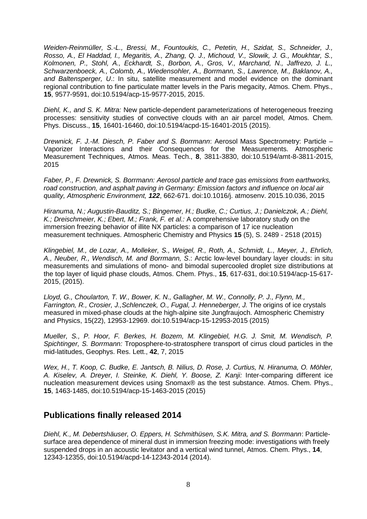*Weiden-Reinmüller, S.-L., Bressi, M., Fountoukis, C., Petetin, H., Szidat, S., Schneider, J., Rosso, A., El Haddad, I., Megaritis, A., Zhang, Q. J., Michoud, V., Slowik, J. G., Moukhtar, S., Kolmonen, P., Stohl, A., Eckhardt, S., Borbon, A., Gros, V., Marchand, N., Jaffrezo, J. L., Schwarzenboeck, A., Colomb, A., Wiedensohler, A., Borrmann, S., Lawrence, M., Baklanov, A., and Baltensperger, U*.: In situ, satellite measurement and model evidence on the dominant regional contribution to fine particulate matter levels in the Paris megacity, Atmos. Chem. Phys., **15**, 9577-9591, doi:10.5194/acp-15-9577-2015, 2015.

*Diehl, K., and S. K. Mitra:* New particle-dependent parameterizations of heterogeneous freezing processes: sensitivity studies of convective clouds with an air parcel model, Atmos. Chem. Phys. Discuss., **15**, 16401-16460, doi:10.5194/acpd-15-16401-2015 (2015).

*Drewnick, F. J.-M. Diesch, P. Faber and S. Borrmann*: Aerosol Mass Spectrometry: Particle – Vaporizer Interactions and their Consequences for the Measurements. Atmospheric Measurement Techniques, Atmos. Meas. Tech., **8**, 3811-3830, doi:10.5194/amt-8-3811-2015, 2015

*Faber, P., F. Drewnick, S. Borrmann: Aerosol particle and trace gas emissions from earthworks, road construction, and asphalt paving in Germany: Emission factors and influence on local air quality, Atmospheric Environment, 122*, 662-671. doi:10.1016/j. atmosenv. 2015.10.036, 2015

*Hiranuma, N.; Augustin-Bauditz, S.; Bingemer, H.; Budke, C.; Curtius, J.; Danielczok, A.; Diehl, K.; Dreischmeier, K.; Ebert, M.; Frank, F. [et al.:](http://www.mpic.mpg.de/publication-search/3477793?from_year=2015&organization=escidoc%3A1826291&seite=3&until_year=2017)* A comprehensive laboratory study on the immersion freezing behavior of illite NX particles: a comparison of 17 ice nucleation measurement techniques. Atmospheric Chemistry and Physics **15** (5), S. 2489 - 2518 (2015)

*Klingebiel, M., de Lozar, A., Molleker, S., Weigel, R., Roth, A., Schmidt, L., Meyer, J., Ehrlich, A., Neuber, R., Wendisch, M. and Borrmann, S*.: Arctic low-level boundary layer clouds: in situ measurements and simulations of mono- and bimodal supercooled droplet size distributions at the top layer of liquid phase clouds, Atmos. Chem. Phys., **15**, 617-631, doi:10.5194/acp-15-617- 2015, (2015).

*Lloyd, G., Choularton, T. W., Bower, K. N., Gallagher, M. W., Connolly, P. J., Flynn, M., Farrington, R., Crosier, J.,Schlenczek, O., Fugal, J. Henneberger, J.* The origins of ice crystals measured in mixed-phase clouds at the high-alpine site Jungfraujoch. Atmospheric Chemistry and Physics, 15(22), 12953-12969. doi:10.5194/acp-15-12953-2015 (2015)

*Mueller, S., P. Hoor, F. Berkes, H. Bozem, M. Klingebiel, H.G. J. Smit, M. Wendisch, P. Spichtinger, S. Borrmann:* Troposphere-to-stratosphere transport of cirrus cloud particles in the mid-latitudes, Geophys. Res. Lett., **42**, 7, 2015

*Wex, H., T. Koop, C. Budke, E. Jantsch, B. Nilius, D. Rose, J. Curtius, N. Hiranuma, O. Möhler, A. Kiselev, A. Dreyer, I. Steinke, K. Diehl, Y. Boose, Z. Kanji:* Inter-comparing different ice nucleation measurement devices using Snomax® as the test substance. Atmos. Chem. Phys., **15**, 1463-1485, doi:10.5194/acp-15-1463-2015 (2015)

## **Publications finally released 2014**

*Diehl, K., M. Debertshäuser, O. Eppers, H. Schmithüsen, S.K. Mitra, and S. Borrmann*: Particlesurface area dependence of mineral dust in immersion freezing mode: investigations with freely suspended drops in an acoustic levitator and a vertical wind tunnel, Atmos. Chem. Phys., **14**, 12343-12355, doi:10.5194/acpd-14-12343-2014 (2014).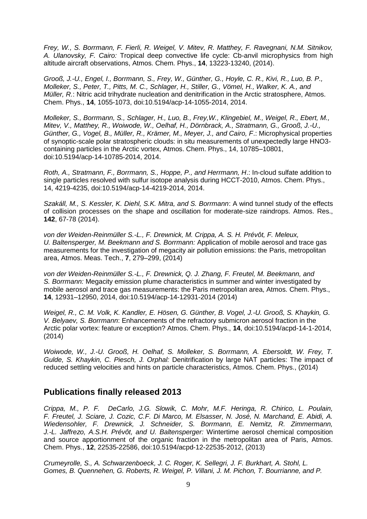*Frey, W., S. Borrmann, F. Fierli, R. Weigel, V. Mitev, R. Matthey, F. Ravegnani, N.M. Sitnikov, A. Ulanovsky, F. Cairo:* Tropical deep convective life cycle: Cb-anvil microphysics from high altitude aircraft observations, Atmos. Chem. Phys., **14**, 13223-13240, (2014).

*Grooß, J.-U., Engel, I., Borrmann, S., Frey, W., Günther, G., Hoyle, C. R., Kivi, R., Luo, B. P., Molleker, S., Peter, T., Pitts, M. C., Schlager, H., Stiller, G., Vömel, H., Walker, K. A., and Müller, R.*: Nitric acid trihydrate nucleation and denitrification in the Arctic stratosphere, Atmos. Chem. Phys., **14**, 1055-1073, doi:10.5194/acp-14-1055-2014, 2014.

*Molleker, S., Borrmann, S., Schlager, H., Luo, B., Frey,W., Klingebiel, M., Weigel, R., Ebert, M., Mitev, V., Matthey, R., Woiwode, W., Oelhaf, H., Dörnbrack, A., Stratmann, G., Grooß, J.-U., Günther, G., Vogel, B., Müller, R., Krämer, M., Meyer, J., and Cairo, F*.: Microphysical properties of synoptic-scale polar stratospheric clouds: in situ measurements of unexpectedly large HNO3 containing particles in the Arctic vortex, Atmos. Chem. Phys., 14, 10785–10801, doi:10.5194/acp-14-10785-2014, 2014.

*Roth, A., Stratmann, F., Borrmann, S., Hoppe, P., and Herrmann, H*.: In-cloud sulfate addition to single particles resolved with sulfur isotope analysis during HCCT-2010, Atmos. Chem. Phys., 14, 4219-4235, doi:10.5194/acp-14-4219-2014, 2014.

*Szakáll, M., S. Kessler, K. Diehl, S.K. Mitra, and S. Borrmann*: A wind tunnel study of the effects of collision processes on the shape and oscillation for moderate-size raindrops. Atmos. Res., **142**, 67-78 (2014).

*von der Weiden-Reinmüller S.-L., F. Drewnick, M. Crippa, A. S. H. Prévôt, F. Meleux, U. Baltensperger, M. Beekmann and S. Borrmann:* Application of mobile aerosol and trace gas measurements for the investigation of megacity air pollution emissions: the Paris, metropolitan area, Atmos. Meas. Tech., **7**, 279–299, (2014)

*von der Weiden-Reinmüller S.-L., F. Drewnick, Q. J. Zhang, F. Freutel, M. Beekmann, and S. Borrmann:* Megacity emission plume characteristics in summer and winter investigated by mobile aerosol and trace gas measurements: the Paris metropolitan area, Atmos. Chem. Phys., **14**, 12931–12950, 2014, doi:10.5194/acp-14-12931-2014 (2014)

*Weigel, R., C. M. Volk, K. Kandler, E. Hösen, G. Günther, B. Vogel, J.-U. Grooß, S. Khaykin, G. V. Belyaev, S. Borrmann*: Enhancements of the refractory submicron aerosol fraction in the Arctic polar vortex: feature or exception? Atmos. Chem. Phys., **14**, doi:10.5194/acpd-14-1-2014, (2014)

*Woiwode, W., J.-U. Grooß, H. Oelhaf, S. Molleker, S. Borrmann, A. Ebersoldt, W. Frey, T. Gulde, S. Khaykin, C. Piesch, J. Orphal:* Denitrification by large NAT particles: The impact of reduced settling velocities and hints on particle characteristics, Atmos. Chem. Phys., (2014)

## **Publications finally released 2013**

*Crippa, M., P. F. DeCarlo, J.G. Slowik, C. Mohr, M.F. Heringa, R. Chirico, L. Poulain, F. Freutel, J. Sciare, J. Cozic, C.F. Di Marco, M. Elsasser, N. José, N. Marchand, E. Abidi, A. Wiedensohler, F. Drewnick, J. Schneider, S. Borrmann, E. Nemitz, R. Zimmermann, J.-L. Jaffrezo, A.S.H. Prévôt, and U. Baltensperger:* Wintertime aerosol chemical composition and source apportionment of the organic fraction in the metropolitan area of Paris, Atmos. Chem. Phys., **12**, 22535-22586, doi:10.5194/acpd-12-22535-2012, (2013)

*Crumeyrolle, S., A. Schwarzenboeck, J. C. Roger, K. Sellegri, J. F. Burkhart, A. Stohl, L. Gomes, B. Quennehen, G. Roberts, R. Weigel, P. Villani, J. M. Pichon, T. Bourrianne, and P.*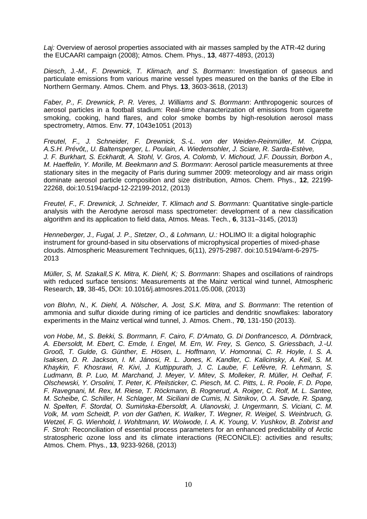*Laj:* Overview of aerosol properties associated with air masses sampled by the ATR-42 during the EUCAARI campaign (2008); Atmos. Chem. Phys., **13**, 4877-4893, (2013)

*Diesch,* J*.-M., F. Drewnick, T. Klimach, and S. Borrmann*: Investigation of gaseous and particulate emissions from various marine vessel types measured on the banks of the Elbe in Northern Germany. Atmos. Chem. and Phys. **13**, 3603-3618, (2013)

*Faber, P., F. Drewnick, P. R. Veres, J. Williams and S. Borrmann*: Anthropogenic sources of aerosol particles in a football stadium: Real-time characterization of emissions from cigarette smoking, cooking, hand flares, and color smoke bombs by high-resolution aerosol mass spectrometry, Atmos. Env. **77**, 1043e1051 (2013)

*Freutel, F., J. Schneider, F. Drewnick, S.-L. von der Weiden-Reinmüller, M. Crippa, A.S.H. Prévôt,, U. Baltensperger, L. Poulain, A. Wiedensohler, J. Sciare, R. Sarda-Estève, J. F. Burkhart, S. Eckhardt, A. Stohl, V. Gros, A. Colomb, V. Michoud, J.F. Doussin, Borbon A., M. Haeffelin, Y. Morille, M. Beekmann and S. Borrmann*: Aerosol particle measurements at three stationary sites in the megacity of Paris during summer 2009: meteorology and air mass origin dominate aerosol particle composition and size distribution, Atmos. Chem. Phys., **12**, 22199- 22268, doi:10.5194/acpd-12-22199-2012, (2013)

*Freutel, F., F. Drewnick, J. Schneider, T. Klimach and S. Borrmann:* Quantitative single-particle analysis with the Aerodyne aerosol mass spectrometer: development of a new classification algorithm and its application to field data, Atmos. Meas. Tech., **6**, 3131–3145, (2013)

*Henneberger, J., Fugal, J. P., Stetzer, O., & Lohmann, U.:* HOLIMO II: a digital holographic instrument for ground-based in situ observations of microphysical properties of mixed-phase clouds. Atmospheric Measurement Techniques, 6(11), 2975-2987. doi:10.5194/amt-6-2975- 2013

*Müller, S, M. Szakall,S K. Mitra, K. Diehl, K; S. Borrmann*: Shapes and oscillations of raindrops with reduced surface tensions: Measurements at the Mainz vertical wind tunnel, Atmospheric Research, **19**, 38-45, DOI: 10.1016/j.atmosres.2011.05.008, (2013)

*von Blohn, N., K. Diehl, A. Nölscher, A. Jost, S.K. Mitra, and S. Borrmann*: The retention of ammonia and sulfur dioxide during riming of ice particles and dendritic snowflakes: laboratory experiments in the Mainz vertical wind tunnel, J. Atmos. Chem., **70**, 131-150 (2013).

*von Hobe, M., S. Bekki, S. Borrmann, F. Cairo, F. D'Amato, G. Di Donfrancesco, A. Dörnbrack, A. Ebersoldt, M. Ebert, C. Emde, I. Engel, M. Ern, W. Frey, S. Genco, S. Griessbach, J.-U. Grooß, T. Gulde, G. Günther, E. Hösen, L. Hoffmann, V. Homonnai, C. R. Hoyle, I. S. A. Isaksen, D. R. Jackson, I. M. Jánosi, R. L. Jones, K. Kandler, C. Kalicinsky, A. Keil, S. M. Khaykin, F. Khosrawi, R. Kivi, J. Kuttippurath, J. C. Laube, F. Lefèvre, R. Lehmann, S. Ludmann, B. P. Luo, M. Marchand, J. Meyer, V. Mitev, S. Molleker, R. Müller, H. Oelhaf, F. Olschewski, Y. Orsolini, T. Peter, K. Pfeilsticker, C. Piesch, M. C. Pitts, L. R. Poole, F. D. Pope, F. Ravegnani, M. Rex, M. Riese, T. Röckmann, B. Rognerud, A. Roiger, C. Rolf, M. L. Santee, M. Scheibe, C. Schiller, H. Schlager, M. Siciliani de Cumis, N. Sitnikov, O. A. Søvde, R. Spang, N. Spelten, F. Stordal, O. Sumińska-Ebersoldt, A. Ulanovski, J. Ungermann, S. Viciani, C. M. Volk, M. vom Scheidt, P. von der Gathen, K. Walker, T. Wegner, R. Weigel, S. Weinbruch, G. Wetzel, F. G. Wienhold, I. Wohltmann, W. Woiwode, I. A. K. Young, V. Yushkov, B. Zobrist and F. Stroh:* Reconciliation of essential process parameters for an enhanced predictability of Arctic stratospheric ozone loss and its climate interactions (RECONCILE): activities and results; Atmos. Chem. Phys., **13**, 9233-9268, (2013)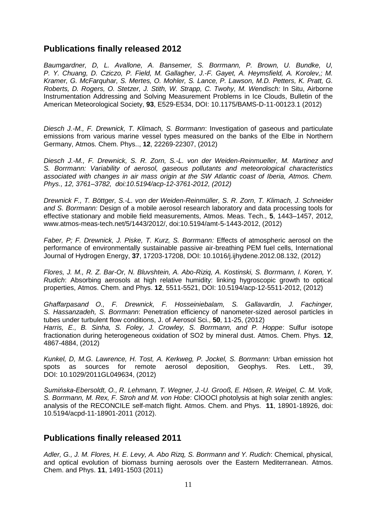# **Publications finally released 2012**

*Baumgardner, D, L. Avallone, A. Bansemer, S. Borrmann, P. Brown, U. Bundke, U, P. Y. Chuang, D. Cziczo, P. Field, M. Gallagher, J.-F. Gayet, A. Heymsfield, A. Korolev,; M. Kramer, G. McFarquhar, S. Mertes, O. Mohler, S. Lance, P. Lawson, M.D. Petters, K. Pratt, G. Roberts, D. Rogers, O. Stetzer, J. Stith, W. Strapp, C. Twohy, M. Wendisch:* In Situ, Airborne Instrumentation Addressing and Solving Measurement Problems in Ice Clouds, Bulletin of the American Meteorological Society, **93**, E529-E534, DOI: 10.1175/BAMS-D-11-00123.1 (2012)

*Diesch J.-M., F. Drewnick, T. Klimach, S. Borrmann*: Investigation of gaseous and particulate emissions from various marine vessel types measured on the banks of the Elbe in Northern Germany, Atmos. Chem. Phys.., **12**, 22269-22307, (2012)

*Diesch J.-M., F. Drewnick, S. R. Zorn, S.-L. von der Weiden-Reinmueller, M. Martinez and S. Borrmann: Variability of aerosol, gaseous pollutants and meteorological characteristics associated with changes in air mass origin at the SW Atlantic coast of Iberia, Atmos. Chem. Phys., 12, 3761–3782, doi:10.5194/acp-12-3761-2012, (2012)* 

*Drewnick F., T. Böttger, S.-L. von der Weiden-Reinmüller, S. R. Zorn, T. Klimach, J. Schneider and S. Borrmann:* Design of a mobile aerosol research laboratory and data processing tools for effective stationary and mobile field measurements, Atmos. Meas. Tech., **5**, 1443–1457, 2012, www.atmos-meas-tech.net/5/1443/2012/, doi:10.5194/amt-5-1443-2012, (2012)

*Faber, P; F. Drewnick, J. Piske, T. Kurz, S. Borrmann:* Effects of atmospheric aerosol on the performance of environmentally sustainable passive air-breathing PEM fuel cells, International Journal of Hydrogen Energy, **37**, 17203-17208, DOI: 10.1016/j.ijhydene.2012.08.132, (2012)

*Flores, J. M., R. Z. Bar-Or, N. Bluvshtein, A. Abo-Riziq, A. Kostinski, S. Borrmann, I. Koren, Y. Rudich*: Absorbing aerosols at high relative humidity: linking hygroscopic growth to optical properties, Atmos. Chem. and Phys. **12**, 5511-5521, DOI: 10.5194/acp-12-5511-2012, (2012)

*Ghaffarpasand O., F. Drewnick, F. Hosseiniebalam, S. Gallavardin, J. Fachinger, S. Hassanzadeh, S. Borrmann*: Penetration efficiency of nanometer-sized aerosol particles in tubes under turbulent flow conditions, J. of Aerosol Sci., **50**, 11-25, (2012) *Harris, E., B. Sinha, S. Foley, J. Crowley, S. Borrmann, and P. Hoppe*: Sulfur isotope fractionation during heterogeneous oxidation of SO2 by mineral dust. Atmos. Chem. Phys. **12**, 4867-4884, (2012)

*Kunkel, D, M.G. Lawrence, H. Tost, A. Kerkweg, P. Jockel, S. Borrmann:* Urban emission hot spots as sources for remote aerosol deposition, Geophys. Res. Lett., 39, DOI: 10.1029/2011GL049634, (2012)

*Sumińska-Ebersoldt, O., R. Lehmann, T. Wegner, J.-U. Grooß, E. Hösen, R. Weigel, C. M. Volk, S. Borrmann, M. Rex, F. Stroh and M. von Hobe*: ClOOCl photolysis at high solar zenith angles: analysis of the RECONCILE self-match flight. Atmos. Chem. and Phys. **11**, 18901-18926, doi: 10.5194/acpd-11-18901-2011 (2012).

## **Publications finally released 2011**

*Adler, G., J. M. Flores, H. E. Levy, A. Abo Rizq, S. Borrmann and Y. Rudich*: Chemical, physical, and optical evolution of biomass burning aerosols over the Eastern Mediterranean. Atmos. Chem. and Phys. **11**, 1491-1503 (2011)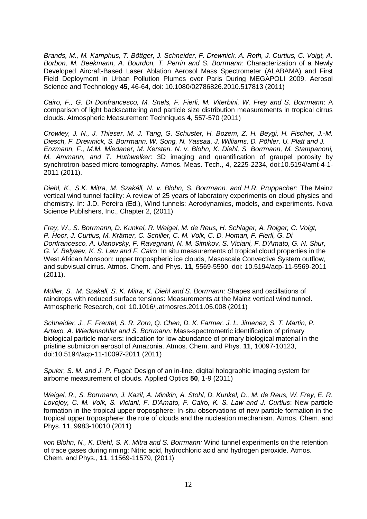*Brands, M., M. Kamphus, T. Böttger, J. Schneider, F. Drewnick, A. Roth, J. Curtius, C. Voigt, A. Borbon, M. Beekmann, A. Bourdon, T. Perrin and S. Borrmann:* Characterization of a Newly Developed Aircraft-Based Laser Ablation Aerosol Mass Spectrometer (ALABAMA) and First Field Deployment in Urban Pollution Plumes over Paris During MEGAPOLI 2009. Aerosol Science and Technology **45**, 46-64, doi: 10.1080/02786826.2010.517813 (2011)

*Cairo, F., G. Di Donfrancesco, M. Snels, F. Fierli, M. Viterbini, W. Frey and S. Borrmann*: A comparison of light backscattering and particle size distribution measurements in tropical cirrus clouds. Atmospheric Measurement Techniques **4**, 557-570 (2011)

*Crowley, J. N., J. Thieser, M. J. Tang, G. Schuster, H. Bozem, Z. H. Beygi, H. Fischer, J.-M. Diesch, F. Drewnick, S. Borrmann, W. Song, N. Yassaa, J. Williams, D. Pöhler, U. Platt and J. Enzmann, F., M.M. Miedaner, M. Kersten, N. v. Blohn, K. Diehl, S. Borrmann, M. Stampanoni, M. Ammann, and T. Huthwelker*: 3D imaging and quantification of graupel porosity by synchrotron-based micro-tomography. Atmos. Meas. Tech., 4, 2225-2234, doi:10.5194/amt-4-1- 2011 (2011).

*Diehl, K., S.K. Mitra, M. Szakáll, N. v. Blohn, S. Borrmann, and H.R. Pruppacher*: The Mainz vertical wind tunnel facility: A review of 25 years of laboratory experiments on cloud physics and chemistry. In: J.D. Pereira (Ed.), Wind tunnels: Aerodynamics, models, and experiments. Nova Science Publishers, Inc., Chapter 2, (2011)

*Frey, W., S. Borrmann, D. Kunkel, R. Weigel, M. de Reus, H. Schlager, A. Roiger, C. Voigt, P. Hoor, J. Curtius, M. Krämer, C. Schiller, C. M. Volk, C. D. Homan, F. Fierli, G. Di Donfrancesco, A. Ulanovsky, F. Ravegnani, N. M. Sitnikov, S. Viciani, F. D'Amato, G. N. Shur, G. V. Belyaev, K. S. Law and F. Cairo*: In situ measurements of tropical cloud properties in the West African Monsoon: upper tropospheric ice clouds, Mesoscale Convective System outflow, and subvisual cirrus. Atmos. Chem. and Phys. **11**, 5569-5590, doi: 10.5194/acp-11-5569-2011 (2011).

*Müller, S., M. Szakall, S. K. Mitra, K. Diehl and S. Borrmann*: Shapes and oscillations of raindrops with reduced surface tensions: Measurements at the Mainz vertical wind tunnel. Atmospheric Research, doi: 10.1016/j.atmosres.2011.05.008 (2011)

*Schneider, J., F. Freutel, S. R. Zorn, Q. Chen, D. K. Farmer, J. L. Jimenez, S. T. Martin, P. Artaxo, A. Wiedensohler and S. Borrmann:* Mass-spectrometric identification of primary biological particle markers: indication for low abundance of primary biological material in the pristine submicron aerosol of Amazonia. Atmos. Chem. and Phys. **11**, 10097-10123, doi:10.5194/acp-11-10097-2011 (2011)

*Spuler, S. M. and J. P. Fugal:* Design of an in-line, digital holographic imaging system for airborne measurement of clouds. Applied Optics **50**, 1-9 (2011)

*Weigel, R., S. Borrmann, J. Kazil, A. Minikin, A. Stohl, D. Kunkel, D., M. de Reus, W. Frey, E. R. Lovejoy, C. M. Volk, S. Viciani, F. D'Amato, F. Cairo, K. S. Law and J. Curtius*: New particle formation in the tropical upper troposphere: In-situ observations of new particle formation in the tropical upper troposphere: the role of clouds and the nucleation mechanism. Atmos. Chem. and Phys. **11**, 9983-10010 (2011)

*von Blohn, N., K. Diehl, S. K. Mitra and S. Borrmann:* Wind tunnel experiments on the retention of trace gases during riming: Nitric acid, hydrochloric acid and hydrogen peroxide. Atmos. Chem. and Phys., **11**, 11569-11579, (2011)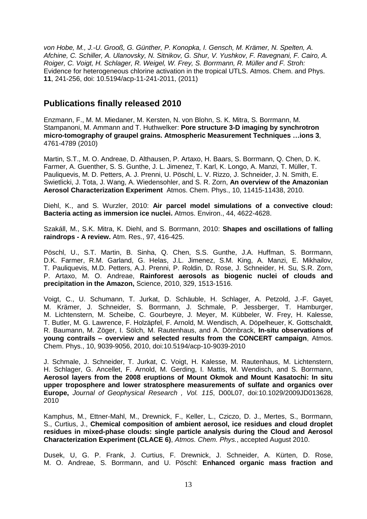*von Hobe, M., J.-U. Grooß, G. Günther, P. Konopka, I. Gensch, M. Krämer, N. Spelten, A. Afchine, C. Schiller, A. Ulanovsky, N. Sitnikov, G. Shur, V. Yushkov, F. Ravegnani, F. Cairo, A. Roiger, C. Voigt, H. Schlager, R. Weigel, W. Frey, S. Borrmann, R. Müller and F. Stroh:*  Evidence for heterogeneous chlorine activation in the tropical UTLS. Atmos. Chem. and Phys. **11**, 241-256, doi: 10.5194/acp-11-241-2011, (2011)

### **Publications finally released 2010**

Enzmann, F., M. M. Miedaner, M. Kersten, N. von Blohn, S. K. Mitra, S. Borrmann, M. Stampanoni, M. Ammann and T. Huthwelker: **Pore structure 3-D imaging by synchrotron micro-tomography of graupel grains. Atmospheric Measurement Techniques …ions 3**, 4761-4789 (2010)

Martin, S.T., M. O. Andreae, D. Althausen, P. Artaxo, H. Baars, S. Borrmann, Q. Chen, D. K. Farmer, A. Guenther, S. S. Gunthe, J. L. Jimenez, T. Karl, K. Longo, A. Manzi, T. Müller, T. Pauliquevis, M. D. Petters, A. J. Prenni, U. Pöschl, L. V. Rizzo, J. Schneider, J. N. Smith, E. Swietlicki, J. Tota, J. Wang, A. Wiedensohler, and S. R. Zorn, **An overview of the Amazonian Aerosol Characterization Experiment** Atmos. Chem. Phys., 10, 11415-11438, 2010.

Diehl, K., and S. Wurzler, 2010: **Air parcel model simulations of a convective cloud: Bacteria acting as immersion ice nuclei.** Atmos. Environ., 44, 4622-4628.

Szakáll, M., S.K. Mitra, K. Diehl, and S. Borrmann, 2010: **Shapes and oscillations of falling raindrops - A review.** Atm. Res., 97, 416-425.

Pöschl, U., S.T. Martin, B. Sinha, Q. Chen, S.S. Gunthe, J.A. Huffman, S. Borrmann, D.K. Farmer, R.M. Garland, G. Helas, J.L. Jimenez, S.M. King, A. Manzi, E. Mikhailov, T. Pauliquevis, M.D. Petters, A.J. Prenni, P. Roldin, D. Rose, J. Schneider, H. Su, S.R. Zorn, P. Artaxo, M. O. Andreae, **Rainforest aerosols as biogenic nuclei of clouds and precipitation in the Amazon,** Science, 2010, 329, 1513-1516.

Voigt, C., U. Schumann, T. Jurkat, D. Schäuble, H. Schlager, A. Petzold, J.-F. Gayet, M. Krämer, J. Schneider, S. Borrmann, J. Schmale, P. Jessberger, T. Hamburger, M. Lichtenstern, M. Scheibe, C. Gourbeyre, J. Meyer, M. Kübbeler, W. Frey, H. Kalesse, T. Butler, M. G. Lawrence, F. Holzäpfel, F. Arnold, M. Wendisch, A. Döpelheuer, K. Gottschaldt, R. Baumann, M. Zöger, I. Sölch, M. Rautenhaus, and A. Dörnbrack, **In-situ observations of young contrails – overview and selected results from the CONCERT campaign**, Atmos. Chem. Phys., 10, 9039-9056, 2010, doi:10.5194/acp-10-9039-2010

J. Schmale, J. Schneider, T. Jurkat, C. Voigt, H. Kalesse, M. Rautenhaus, M. Lichtenstern, H. Schlager, G. Ancellet, F. Arnold, M. Gerding, I. Mattis, M. Wendisch, and S. Borrmann, **Aerosol layers from the 2008 eruptions of Mount Okmok and Mount Kasatochi: In situ upper troposphere and lower stratosphere measurements of sulfate and organics over Europe,** *Journal of Geophysical Research , Vol. 115*, D00L07, doi:10.1029/2009JD013628, 2010

Kamphus, M., Ettner-Mahl, M., Drewnick, F., Keller, L., Cziczo, D. J., Mertes, S., Borrmann, S., Curtius, J., **Chemical composition of ambient aerosol, ice residues and cloud droplet residues in mixed-phase clouds: single particle analysis during the Cloud and Aerosol Characterization Experiment (CLACE 6)**, *Atmos. Chem. Phys.*, accepted August 2010.

Dusek, U, G. P. Frank, J. Curtius, F. Drewnick, J. Schneider, A. Kürten, D. Rose, M. O. Andreae, S. Borrmann, and U. Pöschl: **Enhanced organic mass fraction and**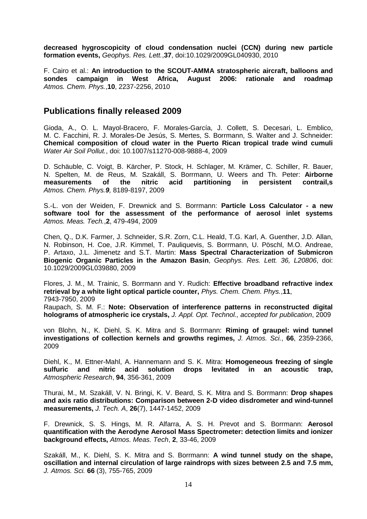**decreased hygroscopicity of cloud condensation nuclei (CCN) during new particle formation events,** *Geophys. Res. Lett.*,**37**, doi:10.1029/2009GL040930, 2010

F. Cairo et al.: **An introduction to the SCOUT-AMMA stratospheric aircraft, balloons and sondes campaign in West Africa, August 2006: rationale and roadmap** *Atmos. Chem. Phys.*,**10**, 2237-2256, 2010

#### **Publications finally released 2009**

Gioda, A., O. L. Mayol-Bracero, F. Morales-García, J. Collett, S. Decesari, L. Emblico, M. C. Facchini, R. J. Morales-De Jesús, S. Mertes, S. Borrmann, S. Walter and J. Schneider: **Chemical composition of cloud water in the Puerto Rican tropical trade wind cumuli** *Water Air Soil Pollut.*, doi: 10.1007/s11270-008-9888-4, 2009

D. Schäuble, C. Voigt, B. Kärcher, P. Stock, H. Schlager, M. Krämer, C. Schiller, R. Bauer, N. Spelten, M. de Reus, M. Szakáll, S. Borrmann, U. Weers and Th. Peter: **Airborne measurements of the nitric acid partitioning in persistent contrail,s** *Atmos. Chem. Phys.9,* 8189-8197, 2009

S.-L. von der Weiden, F. Drewnick and S. Borrmann: **Particle Loss Calculator - a new software tool for the assessment of the performance of aerosol inlet systems** *Atmos. Meas. Tech.*,**2**, 479-494, 2009

Chen, Q., D.K. Farmer, J. Schneider, S.R. Zorn, C.L. Heald, T.G. Karl, A. Guenther, J.D. Allan, N. Robinson, H. Coe, J.R. Kimmel, T. Pauliquevis, S. Borrmann, U. Pöschl, M.O. Andreae, P. Artaxo, J.L. Jimenetz and S.T. Martin: **Mass Spectral Characterization of Submicron Biogenic Organic Particles in the Amazon Basin**, *Geophys. Res. Lett. 36, L20806*, doi: 10.1029/2009GL039880, 2009

Flores, J. M., M. Trainic, S. Borrmann and Y. Rudich: **Effective broadband refractive index retrieval by a white light optical particle counter,** *Phys. Chem. Chem. Phys.*,**11**, 7943-7950, 2009

Raupach, S. M. F.: **Note: Observation of interference patterns in reconstructed digital holograms of atmospheric ice crystals,** *J. Appl. Opt. Technol., accepted for publication*, 2009

von Blohn, N., K. Diehl, S. K. Mitra and S. Borrmann: **Riming of graupel: wind tunnel investigations of collection kernels and growths regimes,** *J. Atmos. Sci.*, **66**, 2359-2366, 2009

Diehl, K., M. Ettner-Mahl, A. Hannemann and S. K. Mitra: **Homogeneous freezing of single sulfuric and nitric acid solution drops levitated in an acoustic trap,** *Atmospheric Research*, **94**, 356-361, 2009

Thurai, M., M. Szakáll, V. N. Bringi, K. V. Beard, S. K. Mitra and S. Borrmann: **Drop shapes and axis ratio distributions: Comparison between 2-D video disdrometer and wind-tunnel measurements,** *J. Tech. A*, **26**(7), 1447-1452, 2009

F. Drewnick, S. S. Hings, M. R. Alfarra, A. S. H. Prevot and S. Borrmann: **Aerosol quantification with the Aerodyne Aerosol Mass Spectrometer: detection limits and ionizer background effects,** *Atmos. Meas. Tech*, **2**, 33-46, 2009

Szakáll, M., K. Diehl, S. K. Mitra and S. Borrmann: **A wind tunnel study on the shape, oscillation and internal circulation of large raindrops with sizes between 2.5 and 7.5 mm,**  *J. Atmos. Sci.* **66** (3), 755-765, 2009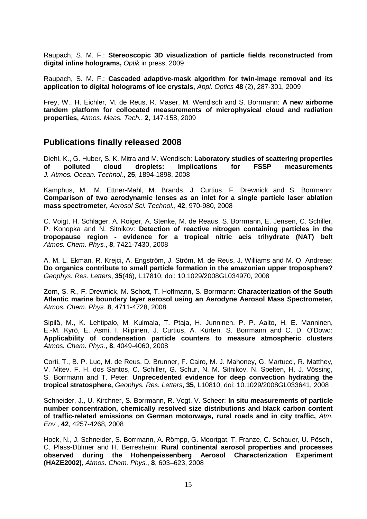Raupach, S. M. F.: **Stereoscopic 3D visualization of particle fields reconstructed from digital inline holograms,** *Optik* in press, 2009

Raupach, S. M. F.: **Cascaded adaptive-mask algorithm for twin-image removal and its application to digital holograms of ice crystals,** *Appl. Optics* **48** (2), 287-301, 2009

Frey, W., H. Eichler, M. de Reus, R. Maser, M. Wendisch and S. Borrmann: **A new airborne tandem platform for collocated measurements of microphysical cloud and radiation properties,** *Atmos. Meas. Tech.*, **2**, 147-158, 2009

#### **Publications finally released 2008**

Diehl, K., G. Huber, S. K. Mitra and M. Wendisch: **Laboratory studies of scattering properties of polluted cloud droplets: Implications for FSSP measurements** *J. Atmos. Ocean. Technol.*, **25**, 1894-1898, 2008

Kamphus, M., M. Ettner-Mahl, M. Brands, J. Curtius, F. Drewnick and S. Borrmann: **Comparison of two aerodynamic lenses as an inlet for a single particle laser ablation mass spectrometer,** *Aerosol Sci. Technol.*, **42**, 970-980, 2008

C. Voigt, H. Schlager, A. Roiger, A. Stenke, M. de Reaus, S. Borrmann, E. Jensen, C. Schiller, P. Konopka and N. Sitnikov: **Detection of reactive nitrogen containing particles in the tropopause region - evidence for a tropical nitric acis trihydrate (NAT) belt** *Atmos. Chem. Phys.*, **8**, 7421-7430, 2008

A. M. L. Ekman, R. Krejci, A. Engström, J. Ström, M. de Reus, J. Williams and M. O. Andreae: **Do organics contribute to small particle formation in the amazonian upper troposphere?** *Geophys. Res. Letters*, **35**(46), L17810, doi: 10.1029/2008GL034970, 2008

Zorn, S. R., F. Drewnick, M. Schott, T. Hoffmann, S. Borrmann: **Characterization of the South Atlantic marine boundary layer aerosol using an Aerodyne Aerosol Mass Spectrometer,**  *Atmos. Chem. Phys.* **8**, 4711-4728, 2008

Sipilä, M., K. Lehtipalo, M. Kulmala, T. Ptaja, H. Junninen, P. P. Aalto, H. E. Manninen, E.-M. Kyrö, E. Asmi, I. Riipinen, J. Curtius, A. Kürten, S. Borrmann and C. D. O'Dowd: **Applicability of condensation particle counters to measure atmospheric clusters** *Atmos. Chem. Phys.*, **8**, 4049-4060, 2008

Corti, T., B. P. Luo, M. de Reus, D. Brunner, F. Cairo, M. J. Mahoney, G. Martucci, R. Matthey, V. Mitev, F. H. dos Santos, C. Schiller, G. Schur, N. M. Sitnikov, N. Spelten, H. J. Vössing, S. Borrmann and T. Peter: **Unprecedented evidence for deep convection hydrating the tropical stratosphere,** *Geophys. Res. Letters*, **35**, L10810, doi: 10.1029/2008GL033641, 2008

Schneider, J., U. Kirchner, S. Borrmann, R. Vogt, V. Scheer: **In situ measurements of particle number concentration, chemically resolved size distributions and black carbon content of traffic-related emissions on German motorways, rural roads and in city traffic,** *Atm. Env.*, **42**, 4257-4268, 2008

Hock, N., J. Schneider, S. Borrmann, A. Römpp, G. Moortgat, T. Franze, C. Schauer, U. Pöschl, C. Plass-Dülmer and H. Berresheim: **Rural continental aerosol properties and processes observed during the Hohenpeissenberg Aerosol Characterization Experiment (HAZE2002),** *Atmos. Chem. Phys.*, **8**, 603–623, 2008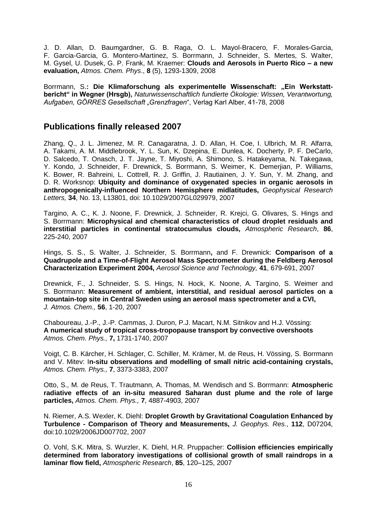J. D. Allan, D. Baumgardner, G. B. Raga, O. L. Mayol-Bracero, F. Morales-Garcia, F. Garcia-Garcia, G. Montero-Martinez, S. Borrmann, J. Schneider, S. Mertes, S. Walter, M. Gysel, U. Dusek, G. P. Frank, M. Kraemer: **Clouds and Aerosols in Puerto Rico – a new evaluation,** *Atmos. Chem. Phys*., **8** (5), 1293-1309, 2008

Borrmann, S.: Die Klimaforschung als experimentelle Wissenschaft: "Ein Werkstatt**bericht" in Wegner (Hrsgb),** *Naturwissenschaftlich fundierte Ökologie: Wissen, Verantwortung, Aufgaben, GÖRRES Gesellschaft "Grenzfragen*", Verlag Karl Alber, 41-78, 2008

#### **Publications finally released 2007**

Zhang, Q., J. L. Jimenez, M. R. Canagaratna, J. D. Allan, H. Coe, I. Ulbrich, M. R. Alfarra, A. Takami, A. M. Middlebrook, Y. L. Sun, K. Dzepina, E. Dunlea, K. Docherty, P. F. DeCarlo, D. Salcedo, T. Onasch, J. T. Jayne, T. Miyoshi, A. Shimono, S. Hatakeyama, N. Takegawa, Y. Kondo, J. Schneider, F. Drewnick, S. Borrmann, S. Weimer, K. Demerjian, P. Williams, K. Bower, R. Bahreini, L. Cottrell, R. J. Griffin, J. Rautiainen, J. Y. Sun, Y. M. Zhang, and D. R. Worksnop: **Ubiquity and dominance of oxygenated species in organic aerosols in anthropogenically-influenced Northern Hemisphere midlatitudes,** *Geophysical Research Letters,* **34**, No. 13, L13801, doi: 10.1029/2007GL029979, 2007

Targino, A. C., K. J. Noone, F. Drewnick, J. Schneider, R. Krejci, G. Olivares, S. Hings and S. Borrmann: **Microphysical and chemical characteristics of cloud droplet residuals and interstitial particles in continental stratocumulus clouds,** *Atmospheric Research*, **86**, 225-240, 2007

Hings, S. S., S. Walter, J. Schneider, S. Borrmann**,** and F. Drewnick: **Comparison of a Quadrupole and a Time-of-Flight Aerosol Mass Spectrometer during the Feldberg Aerosol Characterization Experiment 2004,** *Aerosol Science and Technology,* **41**, 679-691, 2007

Drewnick, F., J. Schneider, S. S. Hings, N. Hock, K. Noone, A. Targino, S. Weimer and S. Borrmann: **Measurement of ambient, interstitial, and residual aerosol particles on a mountain-top site in Central Sweden using an aerosol mass spectrometer and a CVI,** *J. Atmos. Chem.,* **56**, 1-20, 2007

Chaboureau, J.-P., J.-P. Cammas, J. Duron, P.J. Macart, N.M. Sitnikov and H.J. Vössing: **A numerical study of tropical cross-tropopause transport by convective overshoots** *Atmos. Chem. Phys.,* **7,** 1731-1740, 2007

Voigt, C. B. Kärcher, H. Schlager, C. Schiller, M. Krämer, M. de Reus, H. Vössing, S. Borrmann and V. Mitev: I**n-situ observations and modelling of small nitric acid-containing crystals,**  *Atmos. Chem. Phys.,* **7**, 3373-3383, 2007

Otto, S., M. de Reus, T. Trautmann, A. Thomas, M. Wendisch and S. Borrmann: **Atmospheric radiative effects of an in-situ measured Saharan dust plume and the role of large particles,** *Atmos. Chem. Phys.,* **7**, 4887-4903, 2007

N. Riemer, A.S. Wexler, K. Diehl: **Droplet Growth by Gravitational Coagulation Enhanced by Turbulence - Comparison of Theory and Measurements,** *J. Geophys. Res.*, **112**, D07204, doi:10.1029/2006JD007702, 2007

O. Vohl, S.K. Mitra, S. Wurzler, K. Diehl, H.R. Pruppacher: **Collision efficiencies empirically determined from laboratory investigations of collisional growth of small raindrops in a laminar flow field,** *Atmospheric Research*, **85**, 120–125, 2007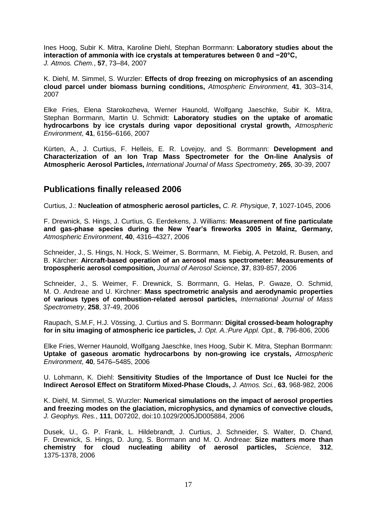Ines Hoog, Subir K. Mitra, Karoline Diehl, Stephan Borrmann: **Laboratory studies about the interaction of ammonia with ice crystals at temperatures between 0 and −20°C,** *J. Atmos. Chem.*, **57**, 73–84, 2007

K. Diehl, M. Simmel, S. Wurzler: **Effects of drop freezing on microphysics of an ascending cloud parcel under biomass burning conditions,** *Atmospheric Environment*, **41**, 303–314, 2007

Elke Fries, Elena Starokozheva, Werner Haunold, Wolfgang Jaeschke, Subir K. Mitra, Stephan Borrmann, Martin U. Schmidt: **Laboratory studies on the uptake of aromatic hydrocarbons by ice crystals during vapor depositional crystal growth,** *Atmospheric Environment*, **41**, 6156–6166, 2007

Kürten, A., J. Curtius, F. Helleis, E. R. Lovejoy, and S. Borrmann: **Development and Characterization of an Ion Trap Mass Spectrometer for the On-line Analysis of Atmospheric Aerosol Particles,** *International Journal of Mass Spectrometry*, **265**, 30-39, 2007

### **Publications finally released 2006**

Curtius, J.: **Nucleation of atmospheric aerosol particles,** *C. R. Physique*, **7**, 1027-1045, 2006

F. Drewnick, S. Hings, J. Curtius, G. Eerdekens, J. Williams: **Measurement of fine particulate and gas-phase species during the New Year's fireworks 2005 in Mainz, Germany,**  *Atmospheric Environment*, **40**, 4316–4327, 2006

Schneider, J., S. Hings, N. Hock, S. Weimer, S. Borrmann, M. Fiebig, A. Petzold, R. Busen, and B. Kärcher: **Aircraft-based operation of an aerosol mass spectrometer: Measurements of tropospheric aerosol composition,** *Journal of Aerosol Science*, **37**, 839-857, 2006

Schneider, J., S. Weimer, F. Drewnick, S. Borrmann, G. Helas, P. Gwaze, O. Schmid, M. O. Andreae and U. Kirchner: **Mass spectrometric analysis and aerodynamic properties of various types of combustion-related aerosol particles,** *International Journal of Mass Spectrometry*, **258**, 37-49, 2006

Raupach, S.M.F, H.J. Vössing, J. Curtius and S. Borrmann: **Digital crossed-beam holography for in situ imaging of atmospheric ice particles,** *J. Opt. A.:Pure Appl. Opt.,* **8**, 796-806, 2006

Elke Fries, Werner Haunold, Wolfgang Jaeschke, Ines Hoog, Subir K. Mitra, Stephan Borrmann: **Uptake of gaseous aromatic hydrocarbons by non-growing ice crystals,** *Atmospheric Environment*, **40**, 5476–5485, 2006

U. Lohmann, K. Diehl: **Sensitivity Studies of the Importance of Dust Ice Nuclei for the Indirect Aerosol Effect on Stratiform Mixed-Phase Clouds,** *J. Atmos. Sci.*, **63**, 968-982, 2006

K. Diehl, M. Simmel, S. Wurzler: **Numerical simulations on the impact of aerosol properties and freezing modes on the glaciation, microphysics, and dynamics of convective clouds,**  *J. Geophys. Res.*, **111**, D07202, doi:10.1029/2005JD005884, 2006

Dusek, U., G. P. Frank, L. Hildebrandt, J. Curtius, J. Schneider, S. Walter, D. Chand, F. Drewnick, S. Hings, D. Jung, S. Borrmann and M. O. Andreae: **Size matters more than chemistry for cloud nucleating ability of aerosol particles,** *Science*, **312**, 1375-1378, 2006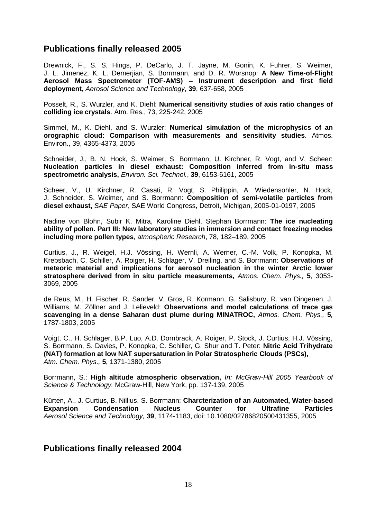#### **Publications finally released 2005**

Drewnick, F., S. S. Hings, P. DeCarlo, J. T. Jayne, M. Gonin, K. Fuhrer, S. Weimer, J. L. Jimenez, K. L. Demerjian, S. Borrmann, and D. R. Worsnop: **A New Time-of-Flight Aerosol Mass Spectrometer (TOF-AMS) – Instrument description and first field deployment,** *Aerosol Science and Technology*, **39**, 637-658, 2005

Posselt, R., S. Wurzler, and K. Diehl: **Numerical sensitivity studies of axis ratio changes of colliding ice crystals**. Atm. Res., 73, 225-242, 2005

Simmel, M., K. Diehl, and S. Wurzler: **Numerical simulation of the microphysics of an orographic cloud: Comparison with measurements and sensitivity studies**. Atmos. Environ., 39, 4365-4373, 2005

Schneider, J., B. N. Hock, S. Weimer, S. Borrmann, U. Kirchner, R. Vogt, and V. Scheer: **Nucleation particles in diesel exhaust: Composition inferred from in-situ mass spectrometric analysis,** *Environ. Sci. Technol.*, **39**, 6153-6161, 2005

Scheer, V., U. Kirchner, R. Casati, R. Vogt, S. Philippin, A. Wiedensohler, N. Hock, J. Schneider, S. Weimer, and S. Borrmann: **Composition of semi-volatile particles from diesel exhaust,** *SAE Paper*, SAE World Congress, Detroit, Michigan, 2005-01-0197, 2005

Nadine von Blohn, Subir K. Mitra, Karoline Diehl, Stephan Borrmann: **The ice nucleating ability of pollen. Part III: New laboratory studies in immersion and contact freezing modes including more pollen types**, *atmospheric Research*, 78, 182–189, 2005

Curtius, J., R. Weigel, H.J. Vössing, H. Wernli, A. Werner, C.-M. Volk, P. Konopka, M. Krebsbach, C. Schiller, A. Roiger, H. Schlager, V. Dreiling, and S. Borrmann: **Observations of meteoric material and implications for aerosol nucleation in the winter Arctic lower stratosphere derived from in situ particle measurements,** *Atmos. Chem. Phys.,* **5**, 3053- 3069, 2005

de Reus, M., H. Fischer, R. Sander, V. Gros, R. Kormann, G. Salisbury, R. van Dingenen, J. Williams, M. Zöllner and J. Lelieveld: **Observations and model calculations of trace gas scavenging in a dense Saharan dust plume during MINATROC,** *Atmos. Chem. Phys.,* **5***,*  1787-1803, 2005

Voigt, C., H. Schlager, B.P. Luo, A.D. Dornbrack, A. Roiger, P. Stock, J. Curtius, H.J. Vössing, S. Borrmann, S. Davies, P. Konopka, C. Schiller, G. Shur and T. Peter: **Nitric Acid Trihydrate (NAT) formation at low NAT supersaturation in Polar Stratospheric Clouds (PSCs),** *Atm. Chem. Phys.,* **5**, 1371-1380, 2005

Borrmann, S.: **High altitude atmospheric observation,** *In: McGraw-Hill 2005 Yearbook of Science & Technology.* McGraw-Hill, New York, pp. 137-139, 2005

Kürten, A., J. Curtius, B. Nillius, S. Borrmann: **Charcterization of an Automated, Water-based Expansion Condensation Nucleus Counter for Ultrafine Particles** *Aerosol Science and Technology,* **39**, 1174-1183, doi: 10.1080/02786820500431355, 2005

#### **Publications finally released 2004**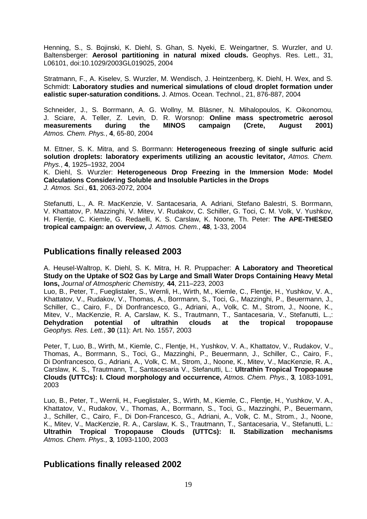Henning, S., S. Bojinski, K. Diehl, S. Ghan, S. Nyeki, E. Weingartner, S. Wurzler, and U. Baltensberger: **Aerosol partitioning in natural mixed clouds.** Geophys. Res. Lett., 31, L06101, doi:10.1029/2003GL019025, 2004

Stratmann, F., A. Kiselev, S. Wurzler, M. Wendisch, J. Heintzenberg, K. Diehl, H. Wex, and S. Schmidt: **Laboratory studies and numerical simulations of cloud droplet formation under ealistic super-saturation conditions.** J. Atmos. Ocean. Technol., 21, 876-887, 2004

Schneider, J., S. Borrmann, A. G. Wollny, M. Bläsner, N. Mihalopoulos, K. Oikonomou, J. Sciare, A. Teller, Z. Levin, D. R. Worsnop: **Online mass spectrometric aerosol measurements during the MINOS campaign (Crete, August 2001)** *Atmos. Chem. Phys.*, **4**, 65-80, 2004

M. Ettner, S. K. Mitra, and S. Borrmann: **Heterogeneous freezing of single sulfuric acid solution droplets: laboratory experiments utilizing an acoustic levitator,** *Atmos. Chem. Phys.*, **4**, 1925–1932, 2004

K. Diehl, S. Wurzler: **Heterogeneous Drop Freezing in the Immersion Mode: Model Calculations Considering Soluble and Insoluble Particles in the Drops** *J. Atmos. Sci.*, **61**, 2063-2072, 2004

Stefanutti, L., A. R. MacKenzie, V. Santacesaria, A. Adriani, Stefano Balestri, S. Borrmann, V. Khattatov, P. Mazzinghi, V. Mitev, V. Rudakov, C. Schiller, G. Toci, C. M. Volk, V. Yushkov, H. Flentje, C. Kiemle, G. Redaelli, K. S. Carslaw, K. Noone, Th. Peter: **The APE-THESEO tropical campaign: an overview,** *J. Atmos. Chem.*, **48**, 1-33, 2004

#### **Publications finally released 2003**

A. Heusel-Waltrop, K. Diehl, S. K. Mitra, H. R. Pruppacher: **A Laboratory and Theoretical Study on the Uptake of SO2 Gas by Large and Small Water Drops Containing Heavy Metal Ions,** *Journal of Atmospheric Chemistry,* **44**, 211–223, 2003

Luo, B., Peter, T., Fueglistaler, S., Wernli, H., Wirth, M., Kiemle, C., Flentje, H., Yushkov, V. A., Khattatov, V., Rudakov, V., Thomas, A., Borrmann, S., Toci, G., Mazzinghi, P., Beuermann, J., Schiller, C., Cairo, F., Di Donfrancesco, G., Adriani, A., Volk, C. M., Strom, J., Noone, K., Mitev, V., MacKenzie, R. A, Carslaw, K. S., Trautmann, T., Santacesaria, V., Stefanutti, L.,: **Dehydration potential of ultrathin clouds at the tropical tropopause** *Geophys. Res. Lett.*, **30** (11): Art. No. 1557, 2003

Peter, T, Luo, B., Wirth, M., Kiemle, C., Flentje, H., Yushkov, V. A., Khattatov, V., Rudakov, V., Thomas, A., Borrmann, S., Toci, G., Mazzinghi, P., Beuermann, J., Schiller, C., Cairo, F., Di Donfrancesco, G., Adriani, A., Volk, C. M., Strom, J., Noone, K., Mitev, V., MacKenzie, R. A., Carslaw, K. S., Trautmann, T., Santacesaria V., Stefanutti, L.: **Ultrathin Tropical Tropopause Clouds (UTTCs): I. Cloud morphology and occurrence,** *Atmos. Chem. Phys.*, **3***,* 1083-1091, 2003

Luo, B., Peter, T., Wernli, H., Fueglistaler, S., Wirth, M., Kiemle, C., Flentje, H., Yushkov, V. A., Khattatov, V., Rudakov, V., Thomas, A., Borrmann, S., Toci, G., Mazzinghi, P., Beuermann, J., Schiller, C., Cairo, F., Di Don-Francesco, G., Adriani, A., Volk, C. M., Strom., J., Noone, K., Mitev, V., MacKenzie, R. A., Carslaw, K. S., Trautmann, T., Santacesaria, V., Stefanutti, L.: **Ultrathin Tropical Tropopause Clouds (UTTCs): II. Stabilization mechanisms** *Atmos. Chem. Phys.,* **3***,* 1093-1100, 2003

#### **Publications finally released 2002**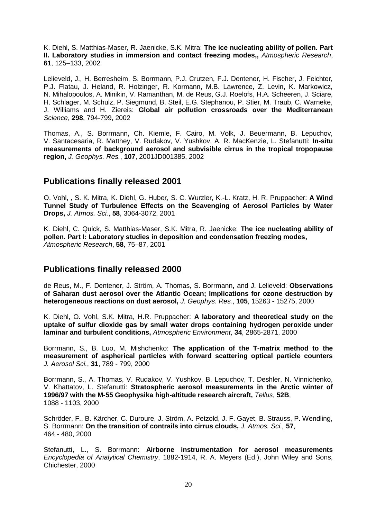K. Diehl, S. Matthias-Maser, R. Jaenicke, S.K. Mitra: **The ice nucleating ability of pollen. Part II. Laboratory studies in immersion and contact freezing modes,,** *Atmospheric Research*, **61**, 125–133, 2002

Lelieveld, J., H. Berresheim, S. Borrmann, P.J. Crutzen, F.J. Dentener, H. Fischer, J. Feichter, P.J. Flatau, J. Heland, R. Holzinger, R. Kormann, M.B. Lawrence, Z. Levin, K. Markowicz, N. Mihalopoulos, A. Minikin, V. Ramanthan, M. de Reus, G.J. Roelofs, H.A. Scheeren, J. Sciare, H. Schlager, M. Schulz, P. Siegmund, B. Steil, E.G. Stephanou, P. Stier, M. Traub, C. Warneke, J. Williams and H. Ziereis: **Global air pollution crossroads over the Mediterranean** *Science*, **298**, 794-799, 2002

Thomas, A., S. Borrmann, Ch. Kiemle, F. Cairo, M. Volk, J. Beuermann, B. Lepuchov, V. Santacesaria, R. Matthey, V. Rudakov, V. Yushkov, A. R. MacKenzie, L. Stefanutti: **In-situ measurements of background aerosol and subvisible cirrus in the tropical tropopause region,** *J. Geophys. Res.*, **107**, 2001JD001385, 2002

### **Publications finally released 2001**

O. Vohl, , S. K. Mitra, K. Diehl, G. Huber, S. C. Wurzler, K.-L. Kratz, H. R. Pruppacher: **A Wind Tunnel Study of Turbulence Effects on the Scavenging of Aerosol Particles by Water Drops,** *J. Atmos. Sci.*, **58**, 3064-3072, 2001

K. Diehl, C. Quick, S. Matthias-Maser, S.K. Mitra, R. Jaenicke: **The ice nucleating ability of pollen. Part I: Laboratory studies in deposition and condensation freezing modes,** *Atmospheric Research*, **58**, 75–87, 2001

#### **Publications finally released 2000**

de Reus, M., F. Dentener, J. Ström, A. Thomas, S. Borrmann**,** and J. Lelieveld: **Observations of Saharan dust aerosol over the Atlantic Ocean; Implications for ozone destruction by heterogeneous reactions on dust aerosol,** *J. Geophys. Res.*, **105**, 15263 - 15275, 2000

K. Diehl, O. Vohl, S.K. Mitra, H.R. Pruppacher: **A laboratory and theoretical study on the uptake of sulfur dioxide gas by small water drops containing hydrogen peroxide under laminar and turbulent conditions,** *Atmospheric Environment*, **34**, 2865-2871, 2000

Borrmann, S., B. Luo, M. Mishchenko: **The application of the T-matrix method to the measurement of aspherical particles with forward scattering optical particle counters** *J. Aerosol Sci.*, **31**, 789 - 799, 2000

Borrmann, S., A. Thomas, V. Rudakov, V. Yushkov, B. Lepuchov, T. Deshler, N. Vinnichenko, V. Khattatov, L. Stefanutti: **Stratospheric aerosol measurements in the Arctic winter of 1996/97 with the M-55 Geophysika high-altitude research aircraft,** *Tellus*, **52B**, 1088 - 1103, 2000

Schröder, F., B. Kärcher, C. Duroure, J. Ström, A. Petzold, J. F. Gayet, B. Strauss, P. Wendling, S. Borrmann: **On the transition of contrails into cirrus clouds,** *J. Atmos. Sci.,* **57**, 464 - 480, 2000

Stefanutti, L., S. Borrmann: **Airborne instrumentation for aerosol measurements** *Encyclopedia of Analytical Chemistry*, 1882-1914, R. A. Meyers (Ed.), John Wiley and Sons, Chichester, 2000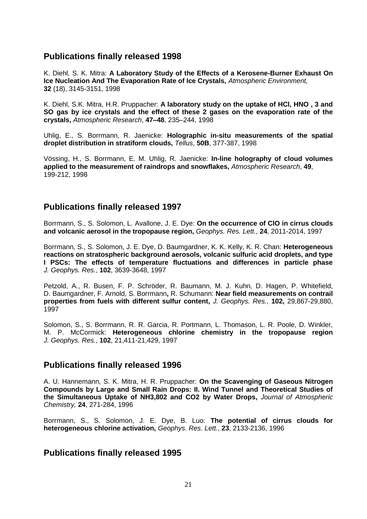### **Publications finally released 1998**

K. Diehl*,* S. K. Mitra: **A Laboratory Study of the Effects of a Kerosene-Burner Exhaust On Ice Nucleation And The Evaporation Rate of Ice Crystals,** *Atmospheric Environment,* **32** (18), 3145-3151, 1998

K. Diehl, S.K. Mitra, H.R. Pruppacher: **A laboratory study on the uptake of HCl, HNO , 3 and SO gas by ice crystals and the effect of these 2 gases on the evaporation rate of the crystals,** *Atmospheric Research*, **47–48**, 235–244, 1998

Uhlig, E., S. Borrmann, R. Jaenicke: **Holographic in-situ measurements of the spatial droplet distribution in stratiform clouds,** *Tellus*, **50B**, 377-387, 1998

Vössing, H., S. Borrmann, E. M. Uhlig, R. Jaenicke: **In-line holography of cloud volumes applied to the measurement of raindrops and snowflakes,** *Atmospheric Research*, **49**, 199-212, 1998

### **Publications finally released 1997**

Borrmann, S., S. Solomon, L. Avallone, J. E. Dye: **On the occurrence of ClO in cirrus clouds and volcanic aerosol in the tropopause region,** *Geophys. Res. Lett.*, **24**, 2011-2014, 1997

Borrmann, S., S. Solomon, J. E. Dye, D. Baumgardner, K. K. Kelly, K. R. Chan: **Heterogeneous reactions on stratospheric background aerosols, volcanic sulfuric acid droplets, and type I PSCs: The effects of temperature fluctuations and differences in particle phase** *J. Geophys. Res.*, **102**, 3639-3648, 1997

Petzold, A., R. Busen, F. P. Schröder, R. Baumann, M. J. Kuhn, D. Hagen, P. Whitefield, D. Baumgardner, F. Arnold, S. Borrmann**,** R. Schumann: **Near field measurements on contrail properties from fuels with different sulfur content,** *J. Geophys. Res.*, **102,** 29,867-29,880, 1997

Solomon, S., S. Borrmann, R. R. Garcia, R. Portmann, L. Thomason, L. R. Poole, D. Winkler, M. P. McCormick: **Heterogeneous chlorine chemistry in the tropopause region** *J. Geophys. Res.*, **102**, 21,411-21,429, 1997

#### **Publications finally released 1996**

A. U. Hannemann, S. K. Mitra, H. R. Pruppacher: **On the Scavenging of Gaseous Nitrogen Compounds by Large and Small Rain Drops: II. Wind Tunnel and Theoretical Studies of the Simultaneous Uptake of NH3,802 and CO2 by Water Drops,** *Journal of Atmospheric Chemistry,* **24**, 271-284, 1996

Borrmann, S., S. Solomon, J. E. Dye, B. Luo: **The potential of cirrus clouds for heterogeneous chlorine activation,** *Geophys. Res. Lett.*, **23**, 2133-2136, 1996

## **Publications finally released 1995**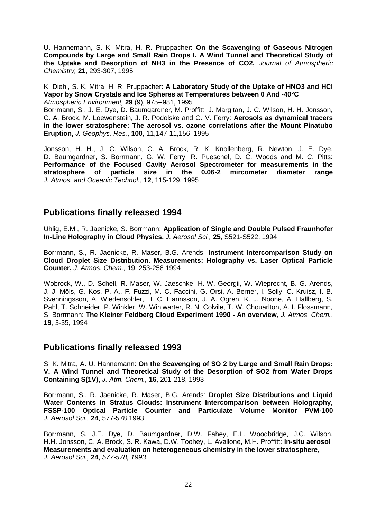U. Hannemann, S. K. Mitra, H. R. Pruppacher: **On the Scavenging of Gaseous Nitrogen Compounds by Large and Small Rain Drops I. A Wind Tunnel and Theoretical Study of the Uptake and Desorption of NH3 in the Presence of CO2,** *Journal of Atmospheric Chemistry,* **21**, 293-307, 1995

K. Diehl, S. K. Mitra, H. R. Pruppacher: **A Laboratory Study of the Uptake of HNO3 and HCl Vapor by Snow Crystals and Ice Spheres at Temperatures between 0 And -40°C** *Atmospheric Environment,* **29** (9), 975--981, 1995

Borrmann, S., J. E. Dye, D. Baumgardner, M. Proffitt, J. Margitan, J. C. Wilson, H. H. Jonsson, C. A. Brock, M. Loewenstein, J. R. Podolske and G. V. Ferry: **Aerosols as dynamical tracers in the lower stratosphere: The aerosol vs. ozone correlations after the Mount Pinatubo Eruption,** *J. Geophys. Res.*, **100**, 11,147-11,156, 1995

Jonsson, H. H., J. C. Wilson, C. A. Brock, R. K. Knollenberg, R. Newton, J. E. Dye, D. Baumgardner, S. Borrmann, G. W. Ferry, R. Pueschel, D. C. Woods and M. C. Pitts: **Performance of the Focused Cavity Aerosol Spectrometer for measurements in the stratosphere of particle size in the 0.06-2 mircometer diameter range**  *J. Atmos. and Oceanic Technol.*, **12**, 115-129, 1995

### **Publications finally released 1994**

Uhlig, E.M., R. Jaenicke, S. Borrmann: **Application of Single and Double Pulsed Fraunhofer In-Line Holography in Cloud Physics,** *J. Aerosol Sci.,* **25**, S521-S522, 1994

Borrmann, S., R. Jaenicke, R. Maser, B.G. Arends: **Instrument Intercomparison Study on Cloud Droplet Size Distribution. Measurements: Holography vs. Laser Optical Particle Counter,** *J. Atmos. Chem.,* **19**, 253-258 1994

Wobrock, W., D. Schell, R. Maser, W. Jaeschke, H.-W. Georgii, W. Wieprecht, B. G. Arends, J. J. Möls, G. Kos, P. A., F. Fuzzi, M. C. Faccini, G. Orsi, A. Berner, I. Solly, C. Kruisz, I. B. Svenningsson, A. Wiedensohler, H. C. Hannsson, J. A. Ogren, K. J. Noone, A. Hallberg, S. Pahl, T. Schneider, P. Winkler, W. Winiwarter, R. N. Colvile, T. W. Chouarlton, A. I. Flossmann, S. Borrmann: **The Kleiner Feldberg Cloud Experiment 1990 - An overview,** *J. Atmos. Chem.*, **19**, 3-35, 1994

#### **Publications finally released 1993**

S. K. Mitra, A. U. Hannemann: **On the Scavenging of SO 2 by Large and Small Rain Drops: V. A Wind Tunnel and Theoretical Study of the Desorption of SO2 from Water Drops Containing S(1V),** *J. Atm. Chem.,* **16**, 201-218, 1993

Borrmann, S., R. Jaenicke, R. Maser, B.G. Arends: **Droplet Size Distributions and Liquid Water Contents in Stratus Clouds: Instrument Intercomparison between Holography, FSSP-100 Optical Particle Counter and Particulate Volume Monitor PVM-100** *J. Aerosol Sci.,* **24**, 577-578,1993

Borrmann, S. J.E. Dye, D. Baumgardner, D.W. Fahey, E.L. Woodbridge, J.C. Wilson, H.H. Jonsson, C. A. Brock, S. R. Kawa, D.W. Toohey, L. Avallone, M.H. Proffitt: **In-situ aerosol Measurements and evaluation on heterogeneous chemistry in the lower stratosphere,** *J. Aerosol Sci.,* **24**, *577-578, 1993*